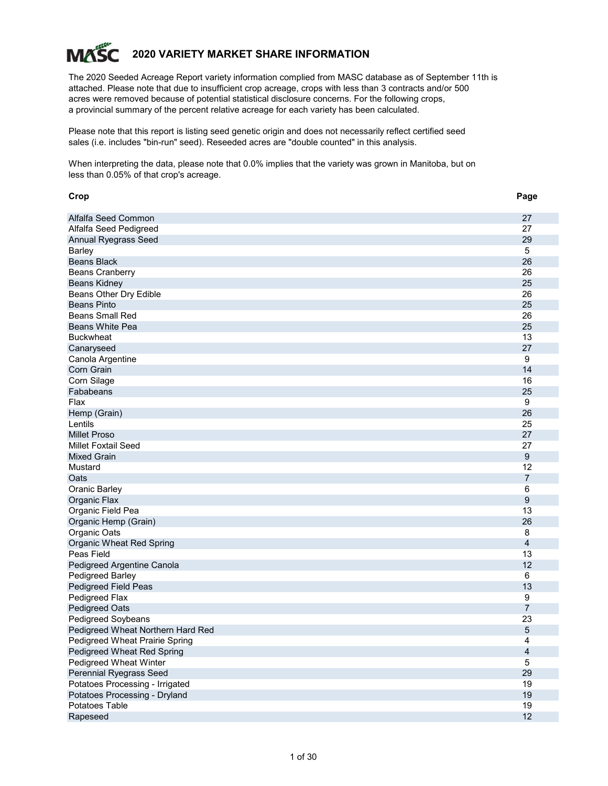# **2020 VARIETY MARKET SHARE INFORMATION MAS**

The 2020 Seeded Acreage Report variety information complied from MASC database as of September 11th is attached. Please note that due to insufficient crop acreage, crops with less than 3 contracts and/or 500 acres were removed because of potential statistical disclosure concerns. For the following crops, a provincial summary of the percent relative acreage for each variety has been calculated.

Please note that this report is listing seed genetic origin and does not necessarily reflect certified seed sales (i.e. includes "bin-run" seed). Reseeded acres are "double counted" in this analysis.

When interpreting the data, please note that 0.0% implies that the variety was grown in Manitoba, but on less than 0.05% of that crop's acreage.

| Crop                              | Page           |
|-----------------------------------|----------------|
| Alfalfa Seed Common               | 27             |
| Alfalfa Seed Pedigreed            | 27             |
| <b>Annual Ryegrass Seed</b>       | 29             |
| <b>Barley</b>                     | 5              |
| <b>Beans Black</b>                | 26             |
| <b>Beans Cranberry</b>            | 26             |
| <b>Beans Kidney</b>               | 25             |
| Beans Other Dry Edible            | 26             |
| <b>Beans Pinto</b>                | 25             |
| <b>Beans Small Red</b>            | 26             |
| <b>Beans White Pea</b>            | 25             |
| <b>Buckwheat</b>                  | 13             |
| Canaryseed                        | 27             |
| Canola Argentine                  | 9              |
| Corn Grain                        | 14             |
| Corn Silage                       | 16             |
| Fababeans                         | 25             |
| Flax                              | 9              |
| Hemp (Grain)                      | 26             |
| Lentils                           | 25             |
| <b>Millet Proso</b>               | 27             |
| <b>Millet Foxtail Seed</b>        | 27             |
| <b>Mixed Grain</b>                | 9              |
| Mustard                           | 12             |
| Oats                              | $\overline{7}$ |
| <b>Oranic Barley</b>              | 6              |
| Organic Flax                      | 9              |
| Organic Field Pea                 | 13             |
| Organic Hemp (Grain)              | 26             |
| Organic Oats                      | 8              |
| Organic Wheat Red Spring          | $\overline{4}$ |
| Peas Field                        | 13             |
| Pedigreed Argentine Canola        | 12             |
| Pedigreed Barley                  | 6              |
| Pedigreed Field Peas              | 13             |
| Pedigreed Flax                    | 9              |
| <b>Pedigreed Oats</b>             | $\overline{7}$ |
| Pedigreed Soybeans                | 23             |
| Pedigreed Wheat Northern Hard Red | 5              |
| Pedigreed Wheat Prairie Spring    | 4              |
| Pedigreed Wheat Red Spring        | $\overline{4}$ |
| Pedigreed Wheat Winter            | 5              |
| Perennial Ryegrass Seed           | 29             |
| Potatoes Processing - Irrigated   | 19             |
| Potatoes Processing - Dryland     | 19             |
| Potatoes Table                    | 19             |
| Rapeseed                          | 12             |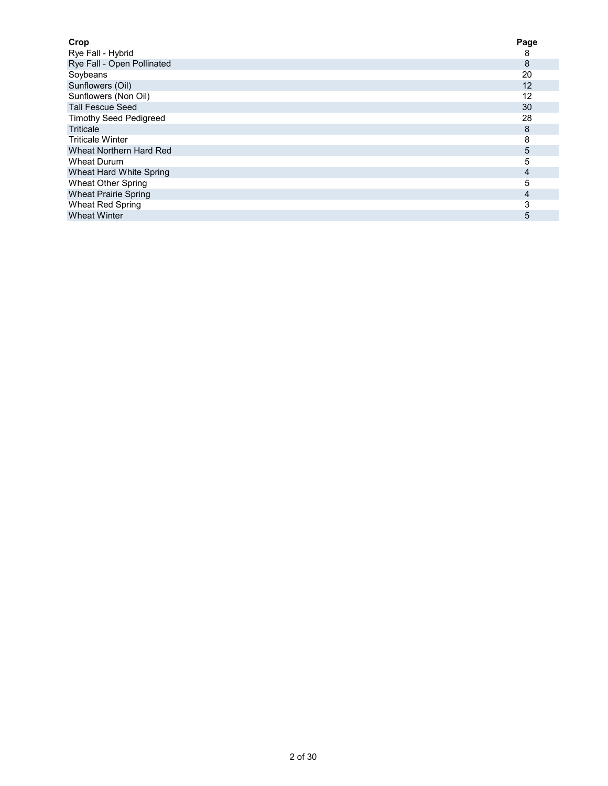| Crop                          | Page |
|-------------------------------|------|
| Rye Fall - Hybrid             | 8    |
| Rye Fall - Open Pollinated    | 8    |
| Soybeans                      | 20   |
| Sunflowers (Oil)              | 12   |
| Sunflowers (Non Oil)          | 12   |
| <b>Tall Fescue Seed</b>       | 30   |
| <b>Timothy Seed Pedigreed</b> | 28   |
| <b>Triticale</b>              | 8    |
| <b>Triticale Winter</b>       | 8    |
| Wheat Northern Hard Red       | 5    |
| Wheat Durum                   | 5    |
| Wheat Hard White Spring       | 4    |
| <b>Wheat Other Spring</b>     | 5    |
| <b>Wheat Prairie Spring</b>   | 4    |
| Wheat Red Spring              | 3    |
| <b>Wheat Winter</b>           | 5    |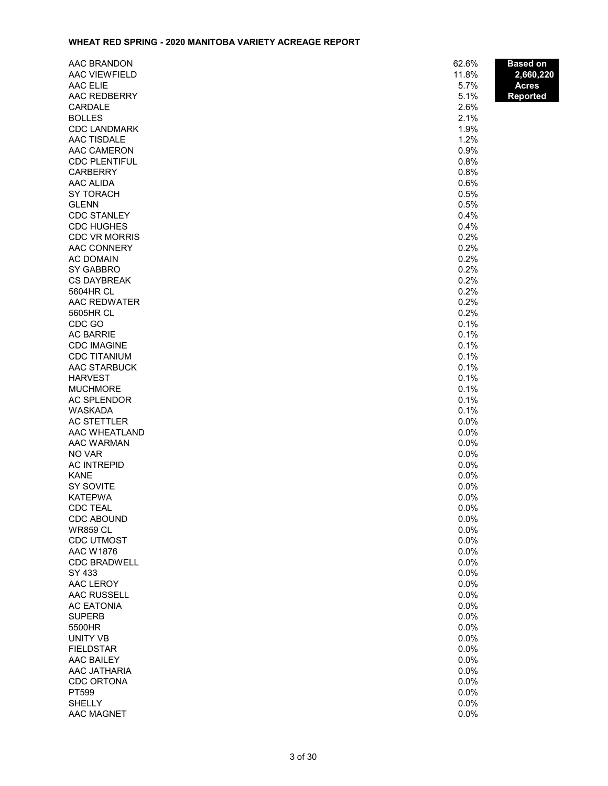### **WHEAT RED SPRING - 2020 MANITOBA VARIETY ACREAGE REPORT**

| AAC BRANDON          | 62.6% | <b>Based on</b> |
|----------------------|-------|-----------------|
| <b>AAC VIEWFIELD</b> | 11.8% | 2,660,220       |
| AAC ELIE             | 5.7%  | <b>Acres</b>    |
| AAC REDBERRY         | 5.1%  | <b>Reported</b> |
| CARDALE              | 2.6%  |                 |
| <b>BOLLES</b>        | 2.1%  |                 |
| <b>CDC LANDMARK</b>  | 1.9%  |                 |
| <b>AAC TISDALE</b>   | 1.2%  |                 |
| AAC CAMERON          | 0.9%  |                 |
| <b>CDC PLENTIFUL</b> | 0.8%  |                 |
| <b>CARBERRY</b>      | 0.8%  |                 |
| AAC ALIDA            | 0.6%  |                 |
| <b>SY TORACH</b>     | 0.5%  |                 |
| <b>GLENN</b>         | 0.5%  |                 |
| <b>CDC STANLEY</b>   | 0.4%  |                 |
| <b>CDC HUGHES</b>    | 0.4%  |                 |
| <b>CDC VR MORRIS</b> | 0.2%  |                 |
| AAC CONNERY          | 0.2%  |                 |
| <b>AC DOMAIN</b>     | 0.2%  |                 |
| <b>SY GABBRO</b>     | 0.2%  |                 |
| <b>CS DAYBREAK</b>   | 0.2%  |                 |
| 5604HR CL            | 0.2%  |                 |
| AAC REDWATER         | 0.2%  |                 |
| 5605HR CL            | 0.2%  |                 |
| CDC GO               | 0.1%  |                 |
| <b>AC BARRIE</b>     | 0.1%  |                 |
| <b>CDC IMAGINE</b>   | 0.1%  |                 |
| <b>CDC TITANIUM</b>  | 0.1%  |                 |
| AAC STARBUCK         | 0.1%  |                 |
| <b>HARVEST</b>       | 0.1%  |                 |
| <b>MUCHMORE</b>      | 0.1%  |                 |
| <b>AC SPLENDOR</b>   | 0.1%  |                 |
| WASKADA              | 0.1%  |                 |
| <b>AC STETTLER</b>   | 0.0%  |                 |
| AAC WHEATLAND        | 0.0%  |                 |
| AAC WARMAN           | 0.0%  |                 |
| NO VAR               | 0.0%  |                 |
| <b>AC INTREPID</b>   | 0.0%  |                 |
| <b>KANE</b>          | 0.0%  |                 |
| SY SOVITE            | 0.0%  |                 |
| <b>KATEPWA</b>       | 0.0%  |                 |
| <b>CDC TEAL</b>      | 0.0%  |                 |
| <b>CDC ABOUND</b>    | 0.0%  |                 |
| <b>WR859 CL</b>      | 0.0%  |                 |
| <b>CDC UTMOST</b>    | 0.0%  |                 |
| <b>AAC W1876</b>     | 0.0%  |                 |
| <b>CDC BRADWELL</b>  | 0.0%  |                 |
| SY 433               | 0.0%  |                 |
| AAC LEROY            | 0.0%  |                 |
| <b>AAC RUSSELL</b>   | 0.0%  |                 |
| <b>AC EATONIA</b>    | 0.0%  |                 |
| <b>SUPERB</b>        | 0.0%  |                 |
| 5500HR               | 0.0%  |                 |
| <b>UNITY VB</b>      | 0.0%  |                 |
| <b>FIELDSTAR</b>     | 0.0%  |                 |
| <b>AAC BAILEY</b>    | 0.0%  |                 |
| AAC JATHARIA         | 0.0%  |                 |
| <b>CDC ORTONA</b>    | 0.0%  |                 |
| PT599                | 0.0%  |                 |
| <b>SHELLY</b>        | 0.0%  |                 |
| AAC MAGNET           | 0.0%  |                 |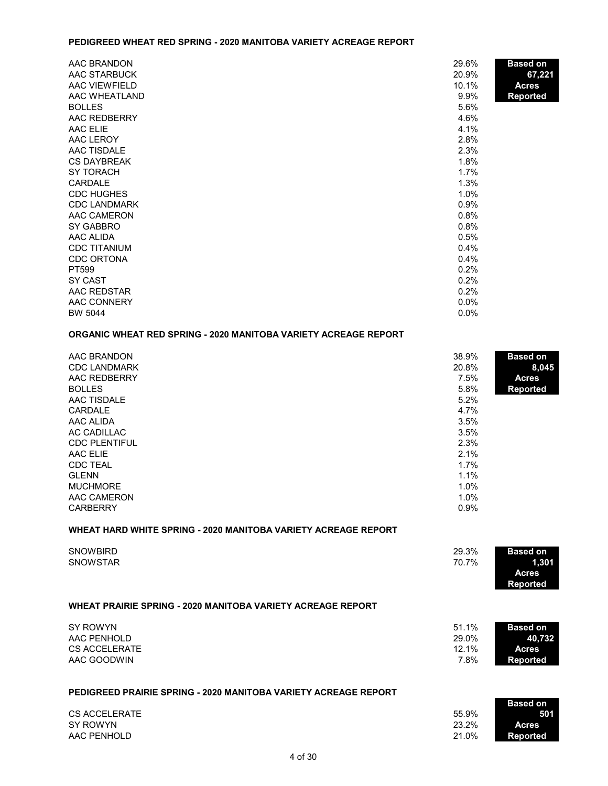#### **PEDIGREED WHEAT RED SPRING - 2020 MANITOBA VARIETY ACREAGE REPORT**

| AAC BRANDON         | 29.6%   | <b>Based on</b> |
|---------------------|---------|-----------------|
| AAC STARBUCK        | 20.9%   | 67,221          |
| AAC VIEWFIELD       | 10.1%   | <b>Acres</b>    |
| AAC WHEATLAND       | 9.9%    | <b>Reported</b> |
| <b>BOLLES</b>       | 5.6%    |                 |
| AAC REDBERRY        | 4.6%    |                 |
| AAC ELIE            | 4.1%    |                 |
| AAC LEROY           | 2.8%    |                 |
| <b>AAC TISDALE</b>  | 2.3%    |                 |
| <b>CS DAYBREAK</b>  | 1.8%    |                 |
| SY TORACH           | 1.7%    |                 |
| CARDALE             | 1.3%    |                 |
| <b>CDC HUGHES</b>   | 1.0%    |                 |
| <b>CDC LANDMARK</b> | 0.9%    |                 |
| AAC CAMERON         | 0.8%    |                 |
| SY GABBRO           | 0.8%    |                 |
| AAC ALIDA           | 0.5%    |                 |
| <b>CDC TITANIUM</b> | 0.4%    |                 |
| <b>CDC ORTONA</b>   | 0.4%    |                 |
| PT599               | 0.2%    |                 |
| SY CAST             | 0.2%    |                 |
| AAC REDSTAR         | 0.2%    |                 |
| AAC CONNERY         | $0.0\%$ |                 |
| <b>BW 5044</b>      | 0.0%    |                 |

### **ORGANIC WHEAT RED SPRING - 2020 MANITOBA VARIETY ACREAGE REPORT**

| AAC BRANDON          | 38.9% | <b>Based on</b> |
|----------------------|-------|-----------------|
| <b>CDC LANDMARK</b>  | 20.8% | 8,045           |
| AAC REDBERRY         | 7.5%  | <b>Acres</b>    |
| <b>BOLLES</b>        | 5.8%  | <b>Reported</b> |
| AAC TISDALE          | 5.2%  |                 |
| CARDALE              | 4.7%  |                 |
| AAC ALIDA            | 3.5%  |                 |
| AC CADILLAC          | 3.5%  |                 |
| <b>CDC PLENTIFUL</b> | 2.3%  |                 |
| AAC ELIE             | 2.1%  |                 |
| <b>CDC TEAL</b>      | 1.7%  |                 |
| <b>GLENN</b>         | 1.1%  |                 |
| <b>MUCHMORE</b>      | 1.0%  |                 |
| AAC CAMERON          | 1.0%  |                 |
| <b>CARBERRY</b>      | 0.9%  |                 |

#### **WHEAT HARD WHITE SPRING - 2020 MANITOBA VARIETY ACREAGE REPORT**

| <b>SNOWBIRD</b><br><b>SNOWSTAR</b>                                 | 29.3%<br>70.7%                  | <b>Based on</b><br>1,301<br><b>Acres</b><br><b>Reported</b>  |
|--------------------------------------------------------------------|---------------------------------|--------------------------------------------------------------|
| <b>WHEAT PRAIRIE SPRING - 2020 MANITOBA VARIETY ACREAGE REPORT</b> |                                 |                                                              |
| SY ROWYN<br>AAC PENHOLD<br>CS ACCELERATE<br>AAC GOODWIN            | 51.1%<br>29.0%<br>12.1%<br>7.8% | <b>Based on</b><br>40,732<br><b>Acres</b><br><b>Reported</b> |
| PEDIGREED PRAIRIE SPRING - 2020 MANITOBA VARIETY ACREAGE REPORT    |                                 | Racod on                                                     |

SY ROWYN AAC PENHOLD **Reported**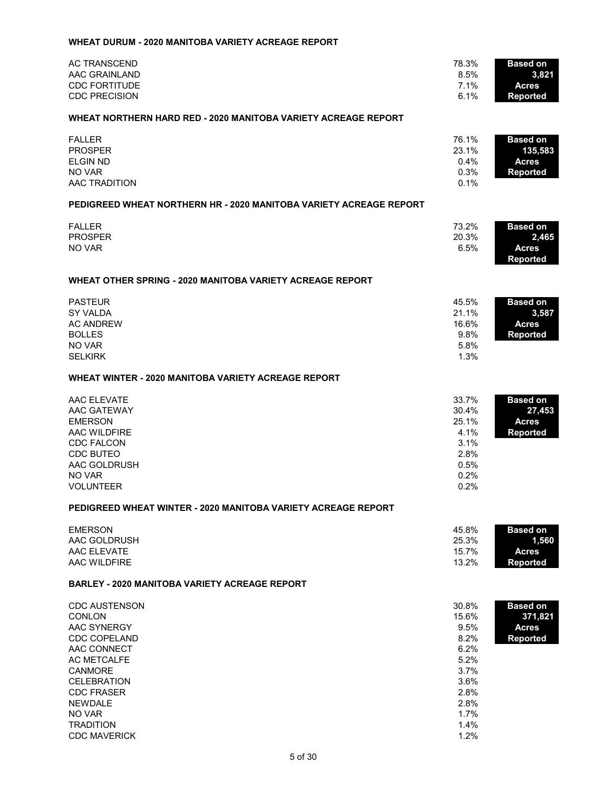|  | WHEAT DURUM - 2020 MANITOBA VARIETY ACREAGE REPORT |  |  |
|--|----------------------------------------------------|--|--|
|--|----------------------------------------------------|--|--|

| <b>AC TRANSCEND</b><br><b>AAC GRAINLAND</b><br><b>CDC FORTITUDE</b><br><b>CDC PRECISION</b>                                                                                                               | 78.3%<br>8.5%<br>7.1%<br>6.1%                                                          | <b>Based on</b><br>3,821<br><b>Acres</b><br><b>Reported</b>   |
|-----------------------------------------------------------------------------------------------------------------------------------------------------------------------------------------------------------|----------------------------------------------------------------------------------------|---------------------------------------------------------------|
| WHEAT NORTHERN HARD RED - 2020 MANITOBA VARIETY ACREAGE REPORT                                                                                                                                            |                                                                                        |                                                               |
| <b>FALLER</b><br><b>PROSPER</b><br><b>ELGIN ND</b><br>NO VAR<br>AAC TRADITION                                                                                                                             | 76.1%<br>23.1%<br>0.4%<br>0.3%<br>0.1%                                                 | <b>Based on</b><br>135,583<br><b>Acres</b><br><b>Reported</b> |
| PEDIGREED WHEAT NORTHERN HR - 2020 MANITOBA VARIETY ACREAGE REPORT                                                                                                                                        |                                                                                        |                                                               |
| <b>FALLER</b><br><b>PROSPER</b><br>NO VAR                                                                                                                                                                 | 73.2%<br>20.3%<br>6.5%                                                                 | <b>Based on</b><br>2,465<br><b>Acres</b><br><b>Reported</b>   |
| <b>WHEAT OTHER SPRING - 2020 MANITOBA VARIETY ACREAGE REPORT</b>                                                                                                                                          |                                                                                        |                                                               |
| <b>PASTEUR</b><br><b>SY VALDA</b><br><b>AC ANDREW</b><br><b>BOLLES</b><br>NO VAR<br><b>SELKIRK</b>                                                                                                        | 45.5%<br>21.1%<br>16.6%<br>9.8%<br>5.8%<br>1.3%                                        | <b>Based on</b><br>3,587<br><b>Acres</b><br><b>Reported</b>   |
| <b>WHEAT WINTER - 2020 MANITOBA VARIETY ACREAGE REPORT</b>                                                                                                                                                |                                                                                        |                                                               |
| AAC ELEVATE<br>AAC GATEWAY<br><b>EMERSON</b><br>AAC WILDFIRE<br><b>CDC FALCON</b><br><b>CDC BUTEO</b><br>AAC GOLDRUSH<br>NO VAR<br><b>VOLUNTEER</b>                                                       | 33.7%<br>30.4%<br>25.1%<br>4.1%<br>3.1%<br>2.8%<br>0.5%<br>0.2%<br>0.2%                | <b>Based on</b><br>27,453<br><b>Acres</b><br><b>Reported</b>  |
| PEDIGREED WHEAT WINTER - 2020 MANITOBA VARIETY ACREAGE REPORT                                                                                                                                             |                                                                                        |                                                               |
| <b>EMERSON</b><br>AAC GOLDRUSH<br>AAC ELEVATE<br>AAC WILDFIRE                                                                                                                                             | 45.8%<br>25.3%<br>15.7%<br>13.2%                                                       | <b>Based on</b><br>1,560<br><b>Acres</b><br><b>Reported</b>   |
| <b>BARLEY - 2020 MANITOBA VARIETY ACREAGE REPORT</b>                                                                                                                                                      |                                                                                        |                                                               |
| <b>CDC AUSTENSON</b><br><b>CONLON</b><br>AAC SYNERGY<br><b>CDC COPELAND</b><br>AAC CONNECT<br><b>AC METCALFE</b><br><b>CANMORE</b><br><b>CELEBRATION</b><br><b>CDC FRASER</b><br><b>NEWDALE</b><br>NO VAR | 30.8%<br>15.6%<br>9.5%<br>8.2%<br>6.2%<br>5.2%<br>3.7%<br>3.6%<br>2.8%<br>2.8%<br>1.7% | <b>Based on</b><br>371,821<br><b>Acres</b><br><b>Reported</b> |

TRADITION 1.4%<br>CDC MAVERICK 1.2%

CDC MAVERICK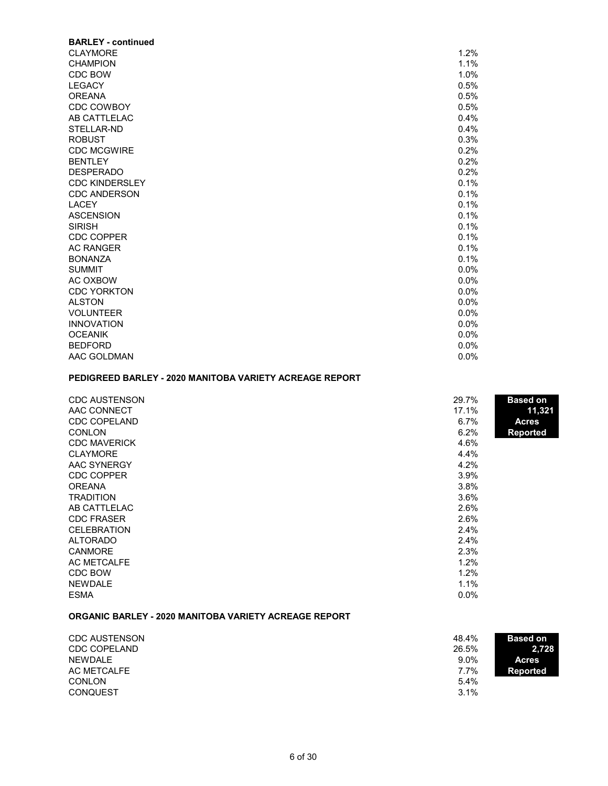| <b>BARLEY - continued</b> |         |
|---------------------------|---------|
| <b>CLAYMORE</b>           | 1.2%    |
| <b>CHAMPION</b>           | 1.1%    |
| CDC BOW                   | 1.0%    |
| <b>LEGACY</b>             | 0.5%    |
| <b>OREANA</b>             | 0.5%    |
| <b>CDC COWBOY</b>         | 0.5%    |
| AB CATTLELAC              | 0.4%    |
| STELLAR-ND                | 0.4%    |
| <b>ROBUST</b>             | 0.3%    |
| <b>CDC MCGWIRE</b>        | 0.2%    |
| <b>BENTLEY</b>            | 0.2%    |
| <b>DESPERADO</b>          | 0.2%    |
| <b>CDC KINDERSLEY</b>     | 0.1%    |
| <b>CDC ANDERSON</b>       | 0.1%    |
| <b>LACEY</b>              | 0.1%    |
| <b>ASCENSION</b>          | 0.1%    |
| <b>SIRISH</b>             | 0.1%    |
| <b>CDC COPPER</b>         | 0.1%    |
| <b>AC RANGER</b>          | 0.1%    |
| <b>BONANZA</b>            | 0.1%    |
| <b>SUMMIT</b>             | $0.0\%$ |
| AC OXBOW                  | 0.0%    |
| <b>CDC YORKTON</b>        | $0.0\%$ |
| <b>ALSTON</b>             | $0.0\%$ |
| <b>VOLUNTEER</b>          | $0.0\%$ |
| <b>INNOVATION</b>         | 0.0%    |
| <b>OCEANIK</b>            | $0.0\%$ |
| <b>BEDFORD</b>            | 0.0%    |
| AAC GOLDMAN               | 0.0%    |

# **PEDIGREED BARLEY - 2020 MANITOBA VARIETY ACREAGE REPORT**

| <b>CDC AUSTENSON</b> | 29.7% | <b>Based on</b> |
|----------------------|-------|-----------------|
|                      |       |                 |
| AAC CONNECT          | 17.1% | 11,321          |
| <b>CDC COPELAND</b>  | 6.7%  | <b>Acres</b>    |
| <b>CONLON</b>        | 6.2%  | <b>Reported</b> |
| <b>CDC MAVERICK</b>  | 4.6%  |                 |
| <b>CLAYMORE</b>      | 4.4%  |                 |
| AAC SYNERGY          | 4.2%  |                 |
| <b>CDC COPPER</b>    | 3.9%  |                 |
| <b>OREANA</b>        | 3.8%  |                 |
| <b>TRADITION</b>     | 3.6%  |                 |
| AB CATTLELAC         | 2.6%  |                 |
| <b>CDC FRASER</b>    | 2.6%  |                 |
| <b>CELEBRATION</b>   | 2.4%  |                 |
| <b>ALTORADO</b>      | 2.4%  |                 |
| <b>CANMORE</b>       | 2.3%  |                 |
| AC METCALFE          | 1.2%  |                 |
| CDC BOW              | 1.2%  |                 |
| NEWDALE              | 1.1%  |                 |
| <b>ESMA</b>          | 0.0%  |                 |

# **ORGANIC BARLEY - 2020 MANITOBA VARIETY ACREAGE REPORT**

| <b>CDC AUSTENSON</b> | 48.4%<br><b>Based on</b> |  |
|----------------------|--------------------------|--|
| <b>CDC COPELAND</b>  | 26.5%<br>2.728           |  |
| NEWDALE              | $9.0\%$<br>Acres         |  |
| AC METCALFE          | 7.7%<br>Reported         |  |
| <b>CONLON</b>        | 5.4%                     |  |
| <b>CONQUEST</b>      | 3.1%                     |  |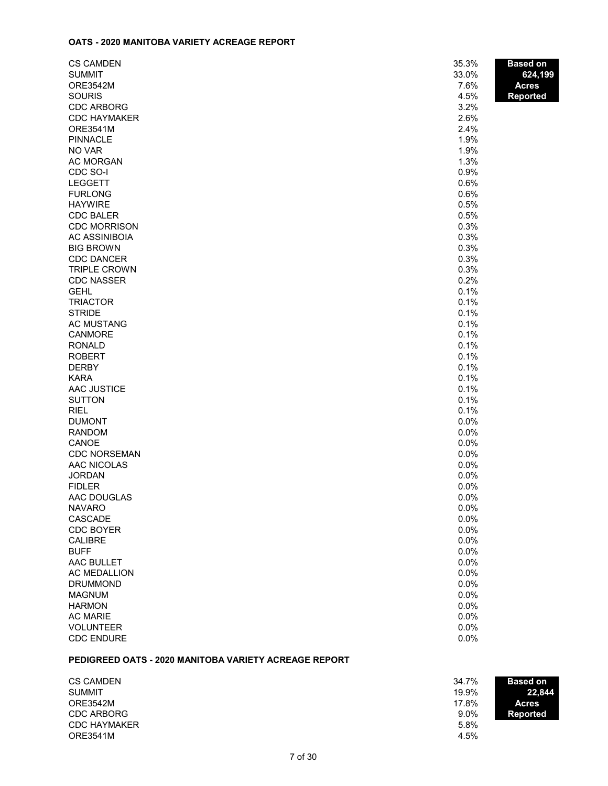#### **OATS - 2020 MANITOBA VARIETY ACREAGE REPORT**

| <b>CS CAMDEN</b>     | 35.3% | <b>Based on</b> |
|----------------------|-------|-----------------|
| <b>SUMMIT</b>        | 33.0% | 624,199         |
| <b>ORE3542M</b>      | 7.6%  | <b>Acres</b>    |
| <b>SOURIS</b>        | 4.5%  | Reported        |
| <b>CDC ARBORG</b>    | 3.2%  |                 |
| <b>CDC HAYMAKER</b>  | 2.6%  |                 |
| <b>ORE3541M</b>      | 2.4%  |                 |
| <b>PINNACLE</b>      | 1.9%  |                 |
| NO VAR               | 1.9%  |                 |
| <b>AC MORGAN</b>     | 1.3%  |                 |
| CDC SO-I             | 0.9%  |                 |
| <b>LEGGETT</b>       | 0.6%  |                 |
| <b>FURLONG</b>       | 0.6%  |                 |
| <b>HAYWIRE</b>       | 0.5%  |                 |
| <b>CDC BALER</b>     | 0.5%  |                 |
| <b>CDC MORRISON</b>  | 0.3%  |                 |
| <b>AC ASSINIBOIA</b> | 0.3%  |                 |
| <b>BIG BROWN</b>     | 0.3%  |                 |
| <b>CDC DANCER</b>    | 0.3%  |                 |
| <b>TRIPLE CROWN</b>  | 0.3%  |                 |
| <b>CDC NASSER</b>    | 0.2%  |                 |
| <b>GEHL</b>          | 0.1%  |                 |
| <b>TRIACTOR</b>      | 0.1%  |                 |
| <b>STRIDE</b>        | 0.1%  |                 |
| <b>AC MUSTANG</b>    | 0.1%  |                 |
| <b>CANMORE</b>       | 0.1%  |                 |
| <b>RONALD</b>        | 0.1%  |                 |
| <b>ROBERT</b>        | 0.1%  |                 |
| <b>DERBY</b>         | 0.1%  |                 |
| <b>KARA</b>          | 0.1%  |                 |
| AAC JUSTICE          | 0.1%  |                 |
| <b>SUTTON</b>        | 0.1%  |                 |
| <b>RIEL</b>          | 0.1%  |                 |
| <b>DUMONT</b>        | 0.0%  |                 |
| <b>RANDOM</b>        | 0.0%  |                 |
| CANOE                | 0.0%  |                 |
| <b>CDC NORSEMAN</b>  | 0.0%  |                 |
| AAC NICOLAS          | 0.0%  |                 |
| <b>JORDAN</b>        | 0.0%  |                 |
| <b>FIDLER</b>        | 0.0%  |                 |
| AAC DOUGLAS          | 0.0%  |                 |
| <b>NAVARO</b>        | 0.0%  |                 |
| CASCADE              | 0.0%  |                 |
| <b>CDC BOYER</b>     | 0.0%  |                 |
| <b>CALIBRE</b>       | 0.0%  |                 |
| <b>BUFF</b>          | 0.0%  |                 |
| AAC BULLET           | 0.0%  |                 |
| <b>AC MEDALLION</b>  | 0.0%  |                 |
| <b>DRUMMOND</b>      | 0.0%  |                 |
| <b>MAGNUM</b>        | 0.0%  |                 |
| <b>HARMON</b>        | 0.0%  |                 |
| <b>AC MARIE</b>      | 0.0%  |                 |
| <b>VOLUNTEER</b>     | 0.0%  |                 |
| <b>CDC ENDURE</b>    | 0.0%  |                 |

# **PEDIGREED OATS - 2020 MANITOBA VARIETY ACREAGE REPORT**

| <b>CS CAMDEN</b>    | 34.7%   | <b>Based on</b> |
|---------------------|---------|-----------------|
| <b>SUMMIT</b>       | 19.9%   | 22.844          |
| ORE3542M            | 17.8%   | <b>Acres</b>    |
| <b>CDC ARBORG</b>   | $9.0\%$ | Reported        |
| <b>CDC HAYMAKER</b> | 5.8%    |                 |
| <b>ORE3541M</b>     | 4.5%    |                 |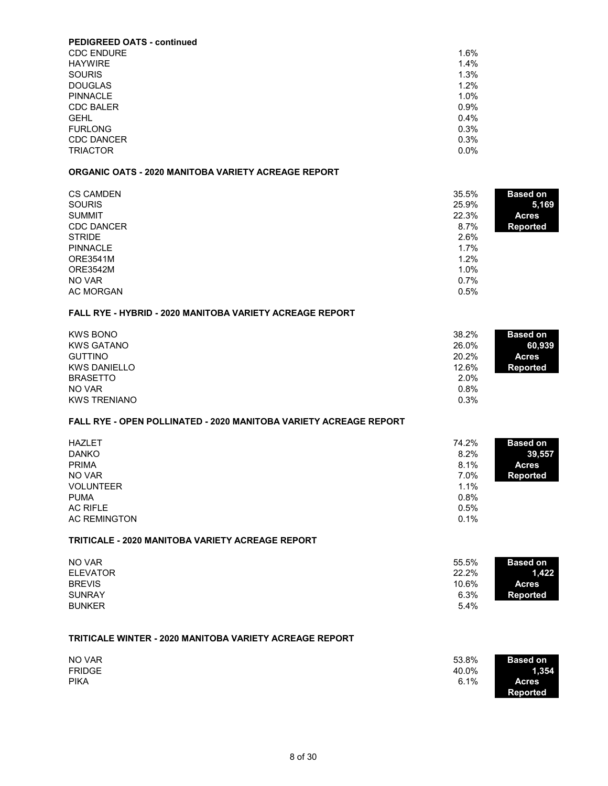| 1.6%    |
|---------|
| 1.4%    |
| 1.3%    |
| 1.2%    |
| 1.0%    |
| 0.9%    |
| $0.4\%$ |
| 0.3%    |
| 0.3%    |
| $0.0\%$ |
|         |

# **ORGANIC OATS - 2020 MANITOBA VARIETY ACREAGE REPORT**

| <b>CS CAMDEN</b><br><b>SOURIS</b> | 35.5%<br><b>Based on</b><br>25.9%<br>5,169 |  |
|-----------------------------------|--------------------------------------------|--|
| <b>SUMMIT</b>                     | 22.3%<br><b>Acres</b>                      |  |
| <b>CDC DANCER</b>                 | 8.7%<br><b>Reported</b>                    |  |
| <b>STRIDE</b>                     | 2.6%                                       |  |
| <b>PINNACLE</b>                   | 1.7%                                       |  |
| <b>ORE3541M</b>                   | 1.2%                                       |  |
| <b>ORE3542M</b>                   | 1.0%                                       |  |
| NO VAR                            | 0.7%                                       |  |
| <b>AC MORGAN</b>                  | 0.5%                                       |  |

#### **FALL RYE - HYBRID - 2020 MANITOBA VARIETY ACREAGE REPORT**

| <b>KWS BONO</b>     | 38.2% | <b>Based on</b> |
|---------------------|-------|-----------------|
| <b>KWS GATANO</b>   | 26.0% | 60.939          |
| <b>GUTTINO</b>      | 20.2% | <b>Acres</b>    |
| <b>KWS DANIELLO</b> | 12.6% | Reported        |
| <b>BRASETTO</b>     | 2.0%  |                 |
| NO VAR              | 0.8%  |                 |
| <b>KWS TRENIANO</b> | 0.3%  |                 |

# **FALL RYE - OPEN POLLINATED - 2020 MANITOBA VARIETY ACREAGE REPORT**

| <b>HAZLET</b><br><b>DANKO</b><br><b>PRIMA</b><br>NO VAR<br><b>VOLUNTEER</b> | 74.2%<br><b>Based on</b><br>8.2%<br>8.1%<br>7.0%<br><b>Reported</b><br>1.1% | 39,557<br><b>Acres</b> |
|-----------------------------------------------------------------------------|-----------------------------------------------------------------------------|------------------------|
| <b>PUMA</b><br>AC RIFLE<br><b>AC REMINGTON</b>                              | 0.8%<br>0.5%<br>0.1%                                                        |                        |

#### **TRITICALE - 2020 MANITOBA VARIETY ACREAGE REPORT**

| NO VAR          | 55.5% | <b>Based on</b> |
|-----------------|-------|-----------------|
| <b>ELEVATOR</b> | 22.2% | 1.422           |
| <b>BREVIS</b>   | 10.6% | <b>Acres</b>    |
| <b>SUNRAY</b>   | 6.3%  | <b>Reported</b> |
| <b>BUNKER</b>   | 5.4%  |                 |

# **TRITICALE WINTER - 2020 MANITOBA VARIETY ACREAGE REPORT**

| NO VAR        | 53.8%<br><b>Based on</b> |
|---------------|--------------------------|
| <b>FRIDGE</b> | 40.0%<br>1,354           |
| <b>PIKA</b>   | 6.1%<br><b>Acres</b>     |
|               | <b>Reported</b>          |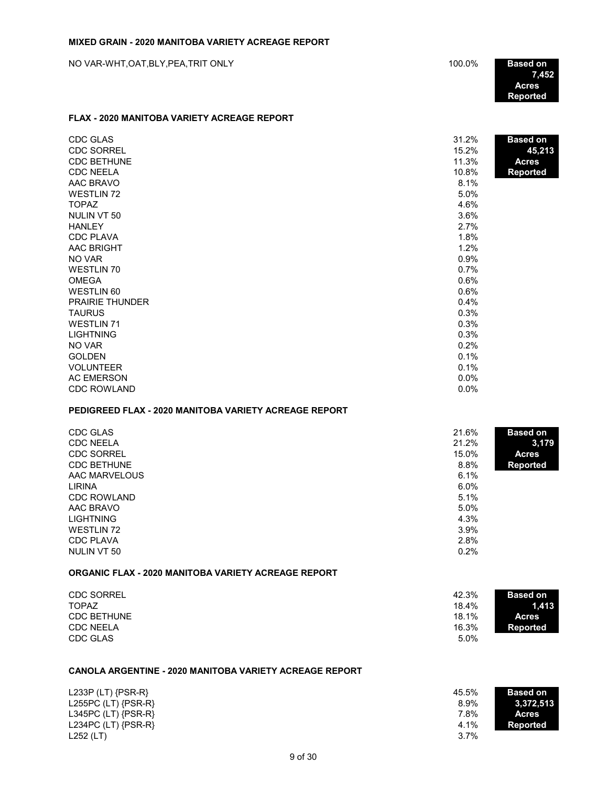**7,452 Acres Reported**

#### **FLAX - 2020 MANITOBA VARIETY ACREAGE REPORT**

| <b>CDC GLAS</b>        | 31.2%   | <b>Based on</b> |
|------------------------|---------|-----------------|
| <b>CDC SORREL</b>      | 15.2%   | 45,213          |
| <b>CDC BETHUNE</b>     | 11.3%   | <b>Acres</b>    |
| <b>CDC NEELA</b>       | 10.8%   | <b>Reported</b> |
| AAC BRAVO              | 8.1%    |                 |
| <b>WESTLIN 72</b>      | 5.0%    |                 |
| <b>TOPAZ</b>           | 4.6%    |                 |
| NULIN VT 50            | 3.6%    |                 |
| <b>HANLEY</b>          | 2.7%    |                 |
| <b>CDC PLAVA</b>       | 1.8%    |                 |
| AAC BRIGHT             | 1.2%    |                 |
| NO VAR                 | 0.9%    |                 |
| <b>WESTLIN 70</b>      | 0.7%    |                 |
| <b>OMEGA</b>           | 0.6%    |                 |
| WESTLIN 60             | 0.6%    |                 |
| <b>PRAIRIE THUNDER</b> | 0.4%    |                 |
| <b>TAURUS</b>          | 0.3%    |                 |
| <b>WESTLIN 71</b>      | 0.3%    |                 |
| <b>LIGHTNING</b>       | 0.3%    |                 |
| NO VAR                 | 0.2%    |                 |
| <b>GOLDEN</b>          | 0.1%    |                 |
| <b>VOLUNTEER</b>       | 0.1%    |                 |
| <b>AC EMERSON</b>      | $0.0\%$ |                 |
| <b>CDC ROWLAND</b>     | 0.0%    |                 |

# **PEDIGREED FLAX - 2020 MANITOBA VARIETY ACREAGE REPORT**

| CDC GLAS           | 21.6%   | <b>Based on</b> |
|--------------------|---------|-----------------|
| <b>CDC NEELA</b>   | 21.2%   | 3,179           |
| <b>CDC SORREL</b>  | 15.0%   | <b>Acres</b>    |
| <b>CDC BETHUNE</b> | 8.8%    | <b>Reported</b> |
| AAC MARVELOUS      | 6.1%    |                 |
| LIRINA             | $6.0\%$ |                 |
| <b>CDC ROWLAND</b> | 5.1%    |                 |
| AAC BRAVO          | 5.0%    |                 |
| <b>LIGHTNING</b>   | 4.3%    |                 |
| WESTLIN 72         | $3.9\%$ |                 |
| <b>CDC PLAVA</b>   | 2.8%    |                 |
| NULIN VT 50        | 0.2%    |                 |

#### **ORGANIC FLAX - 2020 MANITOBA VARIETY ACREAGE REPORT**

| <b>CDC SORREL</b>  | 42.3% | <b>Based on</b> |
|--------------------|-------|-----------------|
| <b>TOPAZ</b>       | 18.4% | 1.413           |
| <b>CDC BETHUNE</b> | 18.1% | <b>Acres</b>    |
| <b>CDC NEELA</b>   | 16.3% | Reported        |
| CDC GLAS           | 5.0%  |                 |

#### **CANOLA ARGENTINE - 2020 MANITOBA VARIETY ACREAGE REPORT**

| L233P (LT) $\{PSR-R\}$  | 45.5% | <b>Based on</b> |
|-------------------------|-------|-----------------|
| L255PC $(LT)$ {PSR-R}   | 8.9%  | 3,372,513       |
| L345PC $(LT)$ {PSR-R}   | 7.8%  | <b>Acres</b>    |
| L234PC (LT) $\{PSR-R\}$ | 4.1%  | Reported        |
| L252 (LT)               | 3.7%  |                 |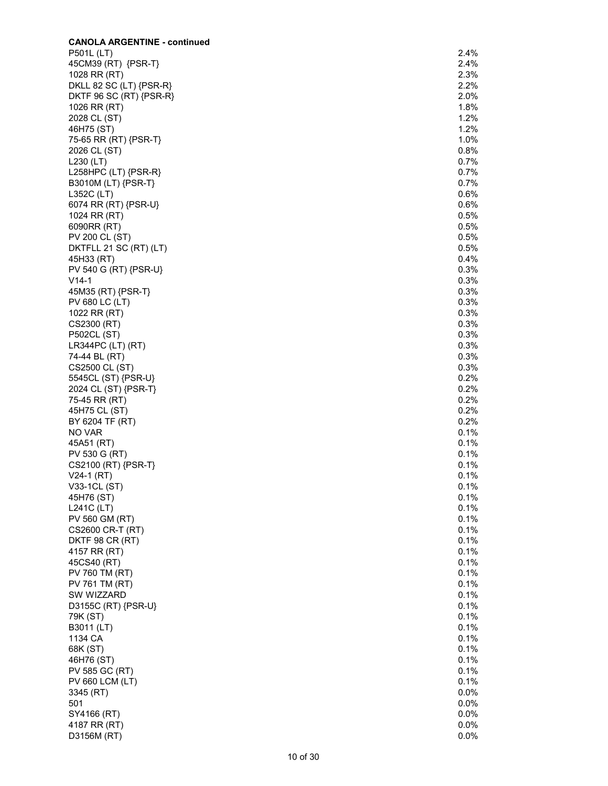| <b>CANOLA ARGENTINE - continued</b>             |              |
|-------------------------------------------------|--------------|
| P501L (LT)                                      | 2.4%         |
| 45CM39 (RT) {PSR-T}                             | 2.4%         |
| 1028 RR (RT)                                    | 2.3%         |
| DKLL 82 SC (LT) {PSR-R}                         | 2.2%<br>2.0% |
| DKTF 96 SC (RT) {PSR-R}<br>1026 RR (RT)         | 1.8%         |
| 2028 CL (ST)                                    | 1.2%         |
| 46H75 (ST)                                      | 1.2%         |
| 75-65 RR (RT) {PSR-T}                           | 1.0%         |
| 2026 CL (ST)                                    | 0.8%         |
| $L230$ (LT)                                     | 0.7%         |
| L258HPC (LT) {PSR-R}                            | 0.7%         |
| B3010M (LT) {PSR-T}                             | 0.7%         |
| L352C (LT)                                      | 0.6%         |
| 6074 RR (RT) {PSR-U}                            | 0.6%         |
| 1024 RR (RT)                                    | 0.5%         |
| 6090RR (RT)                                     | 0.5%         |
| <b>PV 200 CL (ST)</b><br>DKTFLL 21 SC (RT) (LT) | 0.5%<br>0.5% |
| 45H33 (RT)                                      | 0.4%         |
| PV 540 G (RT) {PSR-U}                           | 0.3%         |
| $V14-1$                                         | 0.3%         |
| 45M35 (RT) {PSR-T}                              | 0.3%         |
| PV 680 LC (LT)                                  | 0.3%         |
| 1022 RR (RT)                                    | 0.3%         |
| CS2300 (RT)                                     | 0.3%         |
| <b>P502CL (ST)</b>                              | 0.3%         |
| $LR344PC$ (LT) $(RT)$                           | 0.3%         |
| 74-44 BL (RT)                                   | 0.3%         |
| CS2500 CL (ST)                                  | 0.3%         |
| 5545CL (ST) {PSR-U}                             | 0.2%         |
| 2024 CL (ST) {PSR-T}                            | 0.2%         |
| 75-45 RR (RT)                                   | 0.2%<br>0.2% |
| 45H75 CL (ST)<br>BY 6204 TF (RT)                | 0.2%         |
| NO VAR                                          | 0.1%         |
| 45A51 (RT)                                      | 0.1%         |
| PV 530 G (RT)                                   | 0.1%         |
| CS2100 (RT) {PSR-T}                             | 0.1%         |
| $V24-1 (RT)$                                    | 0.1%         |
| V33-1CL (ST)                                    | 0.1%         |
| 45H76 (ST)                                      | 0.1%         |
| L241C (LT)                                      | 0.1%         |
| PV 560 GM (RT)                                  | 0.1%         |
| CS2600 CR-T (RT)                                | 0.1%         |
| DKTF 98 CR (RT)                                 | 0.1%         |
| 4157 RR (RT)<br>45CS40 (RT)                     | 0.1%<br>0.1% |
| PV 760 TM (RT)                                  | 0.1%         |
| PV 761 TM (RT)                                  | 0.1%         |
| SW WIZZARD                                      | 0.1%         |
| D3155C (RT) {PSR-U}                             | 0.1%         |
| 79K (ST)                                        | 0.1%         |
| B3011 (LT)                                      | 0.1%         |
| 1134 CA                                         | 0.1%         |
| 68K (ST)                                        | 0.1%         |
| 46H76 (ST)                                      | 0.1%         |
| PV 585 GC (RT)                                  | 0.1%         |
| <b>PV 660 LCM (LT)</b>                          | 0.1%         |
| 3345 (RT)                                       | 0.0%         |
| 501                                             | 0.0%         |
| SY4166 (RT)                                     | 0.0%         |
| 4187 RR (RT)                                    | 0.0%         |
| D3156M (RT)                                     | 0.0%         |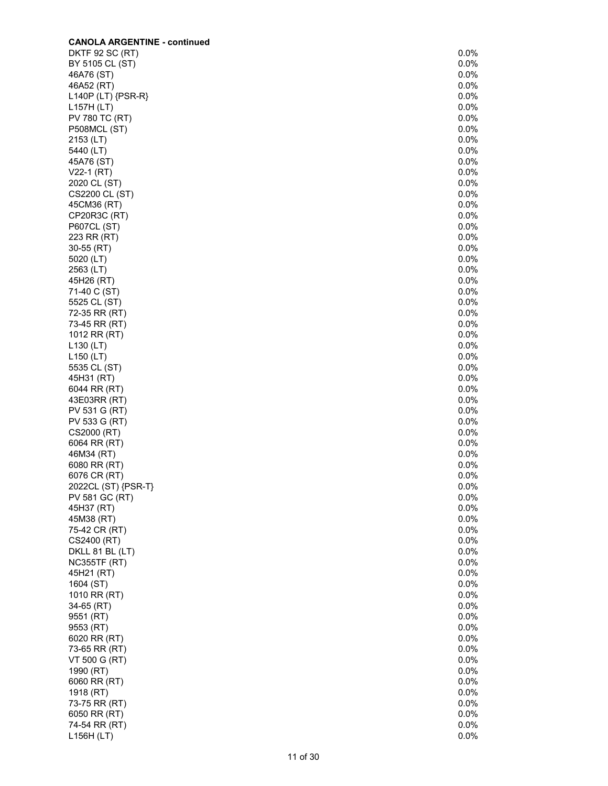| <b>CANOLA ARGENTINE - continued</b> |      |
|-------------------------------------|------|
| <b>DKTF 92 SC (RT)</b>              | 0.0% |
| BY 5105 CL (ST)                     | 0.0% |
| 46A76 (ST)                          | 0.0% |
| 46A52 (RT)                          | 0.0% |
| L140P (LT) {PSR-R}                  | 0.0% |
| L157H (LT)                          | 0.0% |
| PV 780 TC (RT)                      | 0.0% |
| <b>P508MCL (ST)</b>                 | 0.0% |
|                                     |      |
| 2153 (LT)                           | 0.0% |
| 5440 (LT)                           | 0.0% |
| 45A76 (ST)                          | 0.0% |
| $V22-1 (RT)$                        | 0.0% |
| 2020 CL (ST)                        | 0.0% |
| CS2200 CL (ST)                      | 0.0% |
| 45CM36 (RT)                         | 0.0% |
| CP20R3C (RT)                        | 0.0% |
| P607CL (ST)                         | 0.0% |
| 223 RR (RT)                         | 0.0% |
| 30-55 (RT)                          | 0.0% |
| 5020 (LT)                           | 0.0% |
| 2563 (LT)                           | 0.0% |
|                                     |      |
| 45H26 (RT)                          | 0.0% |
| 71-40 C (ST)                        | 0.0% |
| 5525 CL (ST)                        | 0.0% |
| 72-35 RR (RT)                       | 0.0% |
| 73-45 RR (RT)                       | 0.0% |
| 1012 RR (RT)                        | 0.0% |
| L130 (LT)                           | 0.0% |
| L150 (LT)                           | 0.0% |
| 5535 CL (ST)                        | 0.0% |
| 45H31 (RT)                          | 0.0% |
| 6044 RR (RT)                        | 0.0% |
| 43E03RR (RT)                        | 0.0% |
| PV 531 G (RT)                       | 0.0% |
| PV 533 G (RT)                       | 0.0% |
| CS2000 (RT)                         | 0.0% |
| 6064 RR (RT)                        | 0.0% |
|                                     | 0.0% |
| 46M34 (RT)                          |      |
| 6080 RR (RT)                        | 0.0% |
| 6076 CR (RT)                        | 0.0% |
| 2022CL (ST) {PSR-T}                 | 0.0% |
| PV 581 GC (RT)                      | 0.0% |
| 45H37 (RT)                          | 0.0% |
| 45M38 (RT)                          | 0.0% |
| 75-42 CR (RT)                       | 0.0% |
| CS2400 (RT)                         | 0.0% |
| DKLL 81 BL (LT)                     | 0.0% |
| <b>NC355TF (RT)</b>                 | 0.0% |
| 45H21 (RT)                          | 0.0% |
| 1604 (ST)                           | 0.0% |
| 1010 RR (RT)                        | 0.0% |
| 34-65 (RT)                          | 0.0% |
|                                     | 0.0% |
| 9551 (RT)                           |      |
| 9553 (RT)                           | 0.0% |
| 6020 RR (RT)                        | 0.0% |
| 73-65 RR (RT)                       | 0.0% |
| VT 500 G (RT)                       | 0.0% |
| 1990 (RT)                           | 0.0% |
| 6060 RR (RT)                        | 0.0% |
| 1918 (RT)                           | 0.0% |
| 73-75 RR (RT)                       | 0.0% |
| 6050 RR (RT)                        | 0.0% |
| 74-54 RR (RT)                       | 0.0% |
| L156H (LT)                          | 0.0% |
|                                     |      |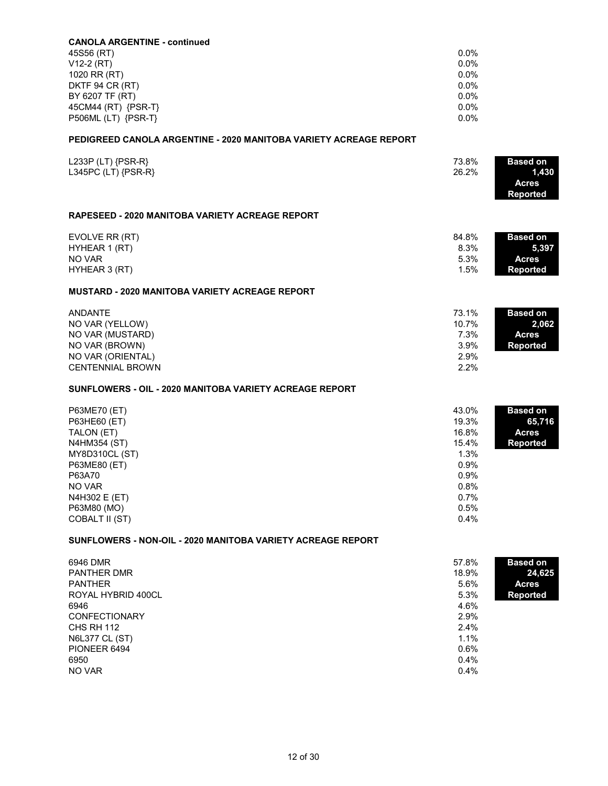| <b>CANOLA ARGENTINE - continued</b>                               |               |                                 |
|-------------------------------------------------------------------|---------------|---------------------------------|
| 45S56 (RT)                                                        | $0.0\%$       |                                 |
| V12-2 (RT)                                                        | 0.0%          |                                 |
| 1020 RR (RT)                                                      | 0.0%          |                                 |
| DKTF 94 CR (RT)                                                   | 0.0%          |                                 |
| BY 6207 TF (RT)                                                   | $0.0\%$       |                                 |
| 45CM44 (RT) {PSR-T}                                               | 0.0%          |                                 |
| P506ML (LT) {PSR-T}                                               | 0.0%          |                                 |
| PEDIGREED CANOLA ARGENTINE - 2020 MANITOBA VARIETY ACREAGE REPORT |               |                                 |
| L233P (LT) $\{PSR-R\}$                                            | 73.8%         | <b>Based on</b>                 |
| L345PC (LT) {PSR-R}                                               | 26.2%         | 1,430                           |
|                                                                   |               | <b>Acres</b><br><b>Reported</b> |
| <b>RAPESEED - 2020 MANITOBA VARIETY ACREAGE REPORT</b>            |               |                                 |
|                                                                   |               |                                 |
| EVOLVE RR (RT)                                                    | 84.8%<br>8.3% | <b>Based on</b>                 |
| HYHEAR 1 (RT)                                                     |               | 5,397                           |
| NO VAR                                                            | 5.3%          | <b>Acres</b>                    |
| HYHEAR 3 (RT)                                                     | 1.5%          | <b>Reported</b>                 |
| <b>MUSTARD - 2020 MANITOBA VARIETY ACREAGE REPORT</b>             |               |                                 |
| <b>ANDANTE</b>                                                    | 73.1%         | <b>Based on</b>                 |
| NO VAR (YELLOW)                                                   | 10.7%         | 2,062                           |
| NO VAR (MUSTARD)                                                  | 7.3%          | <b>Acres</b>                    |
| NO VAR (BROWN)                                                    | 3.9%          | <b>Reported</b>                 |
| NO VAR (ORIENTAL)                                                 | 2.9%          |                                 |
| <b>CENTENNIAL BROWN</b>                                           | 2.2%          |                                 |
| SUNFLOWERS - OIL - 2020 MANITOBA VARIETY ACREAGE REPORT           |               |                                 |
| P63ME70 (ET)                                                      | 43.0%         | <b>Based on</b>                 |
| P63HE60 (ET)                                                      | 19.3%         | 65,716                          |
| TALON (ET)                                                        | 16.8%         | <b>Acres</b>                    |
| N4HM354 (ST)                                                      | 15.4%         | <b>Reported</b>                 |
| MY8D310CL (ST)                                                    | 1.3%          |                                 |
| P63ME80 (ET)                                                      | 0.9%          |                                 |
| P63A70                                                            | 0.9%          |                                 |
| NO VAR                                                            | 0.8%          |                                 |
| N4H302 E (ET)                                                     | 0.7%          |                                 |
| P63M80 (MO)                                                       | 0.5%          |                                 |
| COBALT II (ST)                                                    | 0.4%          |                                 |
| SUNFLOWERS - NON-OIL - 2020 MANITOBA VARIETY ACREAGE REPORT       |               |                                 |
| 6946 DMR                                                          | 57.8%         | <b>Based on</b>                 |
| <b>PANTHER DMR</b>                                                | 18.9%         | 24,625                          |
| <b>PANTHER</b>                                                    | 5.6%          | <b>Acres</b>                    |
| ROYAL HYBRID 400CL                                                | 5.3%          | <b>Reported</b>                 |
| 6946                                                              | 4.6%          |                                 |
| <b>CONFECTIONARY</b>                                              | 2.9%          |                                 |
| <b>CHS RH 112</b>                                                 | 2.4%          |                                 |
| <b>N6L377 CL (ST)</b>                                             | 1.1%          |                                 |
| PIONEER 6494                                                      | 0.6%          |                                 |
| 6950                                                              | 0.4%          |                                 |
| NO VAR                                                            | 0.4%          |                                 |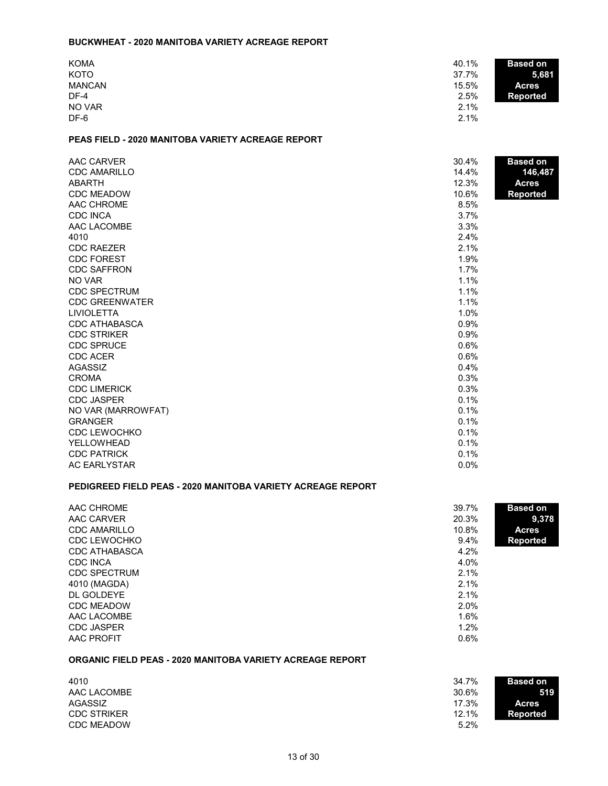#### **BUCKWHEAT - 2020 MANITOBA VARIETY ACREAGE REPORT**

| <b>KOMA</b>   | 40.1%<br><b>Based on</b> |
|---------------|--------------------------|
| <b>KOTO</b>   | 37.7%<br>5,681           |
| <b>MANCAN</b> | 15.5%<br><b>Acres</b>    |
| DF-4          | 2.5%<br><b>Reported</b>  |
| NO VAR        | 2.1%                     |
| DF-6          | 2.1%                     |

# **PEAS FIELD - 2020 MANITOBA VARIETY ACREAGE REPORT**

| AAC CARVER            | 30.4% | <b>Based on</b> |
|-----------------------|-------|-----------------|
| <b>CDC AMARILLO</b>   | 14.4% | 146,487         |
| ABARTH                | 12.3% | <b>Acres</b>    |
| <b>CDC MEADOW</b>     | 10.6% | <b>Reported</b> |
| AAC CHROME            | 8.5%  |                 |
| <b>CDC INCA</b>       | 3.7%  |                 |
| AAC LACOMBE           | 3.3%  |                 |
| 4010                  | 2.4%  |                 |
| <b>CDC RAEZER</b>     | 2.1%  |                 |
| <b>CDC FOREST</b>     | 1.9%  |                 |
| <b>CDC SAFFRON</b>    | 1.7%  |                 |
| NO VAR                | 1.1%  |                 |
| <b>CDC SPECTRUM</b>   | 1.1%  |                 |
| <b>CDC GREENWATER</b> | 1.1%  |                 |
| <b>LIVIOLETTA</b>     | 1.0%  |                 |
| <b>CDC ATHABASCA</b>  | 0.9%  |                 |
| <b>CDC STRIKER</b>    | 0.9%  |                 |
| <b>CDC SPRUCE</b>     | 0.6%  |                 |
| <b>CDC ACER</b>       | 0.6%  |                 |
| <b>AGASSIZ</b>        | 0.4%  |                 |
| <b>CROMA</b>          | 0.3%  |                 |
| <b>CDC LIMERICK</b>   | 0.3%  |                 |
| <b>CDC JASPER</b>     | 0.1%  |                 |
| NO VAR (MARROWFAT)    | 0.1%  |                 |
| <b>GRANGER</b>        | 0.1%  |                 |
| <b>CDC LEWOCHKO</b>   | 0.1%  |                 |
| YELLOWHEAD            | 0.1%  |                 |
| <b>CDC PATRICK</b>    | 0.1%  |                 |
| <b>AC EARLYSTAR</b>   | 0.0%  |                 |

### **PEDIGREED FIELD PEAS - 2020 MANITOBA VARIETY ACREAGE REPORT**

| AAC CHROME<br>AAC CARVER | 39.7%<br><b>Based on</b><br>20.3%<br>9,378 |
|--------------------------|--------------------------------------------|
| <b>CDC AMARILLO</b>      | 10.8%<br><b>Acres</b>                      |
| CDC LEWOCHKO             | $9.4\%$<br><b>Reported</b>                 |
| CDC ATHABASCA            | 4.2%                                       |
| <b>CDC INCA</b>          | 4.0%                                       |
| <b>CDC SPECTRUM</b>      | 2.1%                                       |
| 4010 (MAGDA)             | 2.1%                                       |
| DL GOLDEYE               | 2.1%                                       |
| <b>CDC MEADOW</b>        | 2.0%                                       |
| AAC LACOMBE              | 1.6%                                       |
| <b>CDC JASPER</b>        | 1.2%                                       |
| <b>AAC PROFIT</b>        | 0.6%                                       |

# **ORGANIC FIELD PEAS - 2020 MANITOBA VARIETY ACREAGE REPORT**

| 4010               | 34.7%<br><b>Based on</b> |  |
|--------------------|--------------------------|--|
| AAC LACOMBE        | 30.6%<br>519             |  |
| AGASSIZ            | 17.3%<br><b>Acres</b>    |  |
| <b>CDC STRIKER</b> | 12.1%<br>Reported        |  |
| <b>CDC MEADOW</b>  | 5.2%                     |  |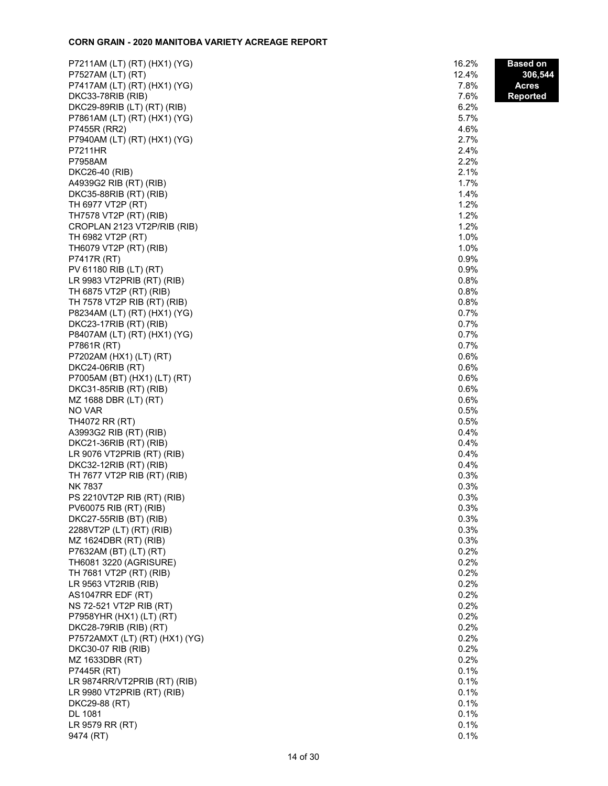### **CORN GRAIN - 2020 MANITOBA VARIETY ACREAGE REPORT**

| P7211AM (LT) (RT) (HX1) (YG)   | 16.2% | <b>Based on</b> |
|--------------------------------|-------|-----------------|
| P7527AM (LT) (RT)              | 12.4% | 306,544         |
| P7417AM (LT) (RT) (HX1) (YG)   | 7.8%  | <b>Acres</b>    |
| DKC33-78RIB (RIB)              | 7.6%  | <b>Reported</b> |
| DKC29-89RIB (LT) (RT) (RIB)    | 6.2%  |                 |
| P7861AM (LT) (RT) (HX1) (YG)   | 5.7%  |                 |
| P7455R (RR2)                   | 4.6%  |                 |
| P7940AM (LT) (RT) (HX1) (YG)   | 2.7%  |                 |
| P7211HR                        | 2.4%  |                 |
| P7958AM                        | 2.2%  |                 |
| DKC26-40 (RIB)                 | 2.1%  |                 |
| A4939G2 RIB (RT) (RIB)         | 1.7%  |                 |
| DKC35-88RIB (RT) (RIB)         | 1.4%  |                 |
| TH 6977 VT2P (RT)              | 1.2%  |                 |
| TH7578 VT2P (RT) (RIB)         | 1.2%  |                 |
| CROPLAN 2123 VT2P/RIB (RIB)    | 1.2%  |                 |
| TH 6982 VT2P (RT)              | 1.0%  |                 |
| TH6079 VT2P (RT) (RIB)         | 1.0%  |                 |
| P7417R (RT)                    | 0.9%  |                 |
| PV 61180 RIB (LT) (RT)         | 0.9%  |                 |
| LR 9983 VT2PRIB (RT) (RIB)     | 0.8%  |                 |
| TH 6875 VT2P (RT) (RIB)        | 0.8%  |                 |
| TH 7578 VT2P RIB (RT) (RIB)    | 0.8%  |                 |
| P8234AM (LT) (RT) (HX1) (YG)   | 0.7%  |                 |
| DKC23-17RIB (RT) (RIB)         | 0.7%  |                 |
| P8407AM (LT) (RT) (HX1) (YG)   | 0.7%  |                 |
| P7861R (RT)                    | 0.7%  |                 |
| P7202AM (HX1) (LT) (RT)        | 0.6%  |                 |
| DKC24-06RIB (RT)               | 0.6%  |                 |
| P7005AM (BT) (HX1) (LT) (RT)   | 0.6%  |                 |
| DKC31-85RIB (RT) (RIB)         | 0.6%  |                 |
| MZ 1688 DBR (LT) (RT)          | 0.6%  |                 |
| NO VAR                         | 0.5%  |                 |
| TH4072 RR (RT)                 | 0.5%  |                 |
| A3993G2 RIB (RT) (RIB)         | 0.4%  |                 |
| DKC21-36RIB (RT) (RIB)         | 0.4%  |                 |
| LR 9076 VT2PRIB (RT) (RIB)     | 0.4%  |                 |
| DKC32-12RIB (RT) (RIB)         | 0.4%  |                 |
| TH 7677 VT2P RIB (RT) (RIB)    | 0.3%  |                 |
| <b>NK7837</b>                  | 0.3%  |                 |
| PS 2210VT2P RIB (RT) (RIB)     | 0.3%  |                 |
| PV60075 RIB (RT) (RIB)         | 0.3%  |                 |
| DKC27-55RIB (BT) (RIB)         | 0.3%  |                 |
| 2288VT2P (LT) (RT) (RIB)       | 0.3%  |                 |
| MZ 1624DBR (RT) (RIB)          | 0.3%  |                 |
| P7632AM (BT) (LT) (RT)         | 0.2%  |                 |
| TH6081 3220 (AGRISURE)         | 0.2%  |                 |
| TH 7681 VT2P (RT) (RIB)        | 0.2%  |                 |
| LR 9563 VT2RIB (RIB)           | 0.2%  |                 |
| AS1047RR EDF (RT)              | 0.2%  |                 |
| NS 72-521 VT2P RIB (RT)        | 0.2%  |                 |
| P7958YHR (HX1) (LT) (RT)       | 0.2%  |                 |
| DKC28-79RIB (RIB) (RT)         | 0.2%  |                 |
| P7572AMXT (LT) (RT) (HX1) (YG) | 0.2%  |                 |
| <b>DKC30-07 RIB (RIB)</b>      | 0.2%  |                 |
| MZ 1633DBR (RT)                | 0.2%  |                 |
| P7445R (RT)                    | 0.1%  |                 |
| LR 9874RR/VT2PRIB (RT) (RIB)   | 0.1%  |                 |
| LR 9980 VT2PRIB (RT) (RIB)     | 0.1%  |                 |
| DKC29-88 (RT)                  | 0.1%  |                 |
| DL 1081                        | 0.1%  |                 |
| LR 9579 RR (RT)                | 0.1%  |                 |
| 9474 (RT)                      | 0.1%  |                 |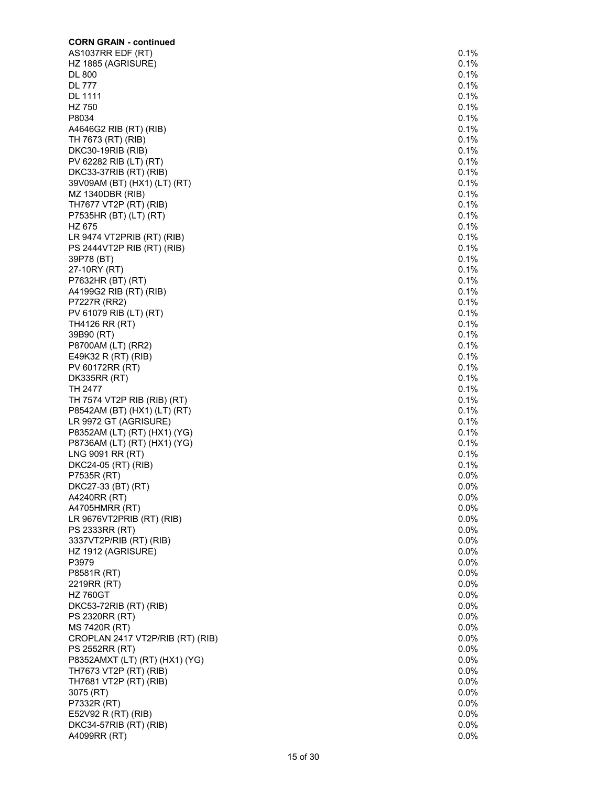| <b>CORN GRAIN - continued</b>                     |              |
|---------------------------------------------------|--------------|
| AS1037RR EDF (RT)                                 | 0.1%         |
| HZ 1885 (AGRISURE)                                | 0.1%         |
| <b>DL 800</b>                                     | 0.1%         |
| <b>DL 777</b>                                     | 0.1%         |
| <b>DL 1111</b><br>HZ 750                          | 0.1%<br>0.1% |
| P8034                                             | 0.1%         |
| A4646G2 RIB (RT) (RIB)                            | 0.1%         |
| TH 7673 (RT) (RIB)                                | 0.1%         |
| DKC30-19RIB (RIB)                                 | 0.1%         |
| PV 62282 RIB (LT) (RT)                            | 0.1%         |
| DKC33-37RIB (RT) (RIB)                            | 0.1%         |
| 39V09AM (BT) (HX1) (LT) (RT)                      | 0.1%         |
| MZ 1340DBR (RIB)                                  | 0.1%         |
| TH7677 VT2P (RT) (RIB)                            | 0.1%         |
| P7535HR (BT) (LT) (RT)<br>HZ 675                  | 0.1%<br>0.1% |
| LR 9474 VT2PRIB (RT) (RIB)                        | 0.1%         |
| PS 2444VT2P RIB (RT) (RIB)                        | 0.1%         |
| 39P78 (BT)                                        | 0.1%         |
| 27-10RY (RT)                                      | 0.1%         |
| P7632HR (BT) (RT)                                 | 0.1%         |
| A4199G2 RIB (RT) (RIB)                            | 0.1%         |
| P7227R (RR2)                                      | 0.1%         |
| PV 61079 RIB (LT) (RT)                            | 0.1%         |
| <b>TH4126 RR (RT)</b>                             | 0.1%         |
| 39B90 (RT)                                        | 0.1%         |
| P8700AM (LT) (RR2)                                | 0.1%<br>0.1% |
| E49K32 R (RT) (RIB)<br>PV 60172RR (RT)            | 0.1%         |
| <b>DK335RR (RT)</b>                               | 0.1%         |
| TH 2477                                           | 0.1%         |
| TH 7574 VT2P RIB (RIB) (RT)                       | 0.1%         |
| P8542AM (BT) (HX1) (LT) (RT)                      | 0.1%         |
| LR 9972 GT (AGRISURE)                             | 0.1%         |
| P8352AM (LT) (RT) (HX1) (YG)                      | 0.1%         |
| P8736AM (LT) (RT) (HX1) (YG)                      | 0.1%         |
| LNG 9091 RR (RT)                                  | 0.1%         |
| DKC24-05 (RT) (RIB)                               | 0.1%         |
| P7535R (RT)                                       | 0.0%         |
| DKC27-33 (BT) (RT)<br>A4240RR (RT)                | 0.0%<br>0.0% |
| A4705HMRR (RT)                                    | 0.0%         |
| LR 9676VT2PRIB (RT) (RIB)                         | 0.0%         |
| PS 2333RR (RT)                                    | 0.0%         |
| 3337VT2P/RIB (RT) (RIB)                           | 0.0%         |
| HZ 1912 (AGRISURE)                                | 0.0%         |
| P3979                                             | 0.0%         |
| P8581R (RT)                                       | 0.0%         |
| 2219RR (RT)                                       | 0.0%         |
| <b>HZ 760GT</b>                                   | 0.0%         |
| DKC53-72RIB (RT) (RIB)                            | 0.0%         |
| PS 2320RR (RT)                                    | 0.0%<br>0.0% |
| MS 7420R (RT)<br>CROPLAN 2417 VT2P/RIB (RT) (RIB) | 0.0%         |
| PS 2552RR (RT)                                    | 0.0%         |
| P8352AMXT (LT) (RT) (HX1) (YG)                    | $0.0\%$      |
| TH7673 VT2P (RT) (RIB)                            | 0.0%         |
| TH7681 VT2P (RT) (RIB)                            | 0.0%         |
| 3075 (RT)                                         | 0.0%         |
| P7332R (RT)                                       | 0.0%         |
| E52V92 R (RT) (RIB)                               | 0.0%         |
| DKC34-57RIB (RT) (RIB)                            | 0.0%         |
| A4099RR (RT)                                      | 0.0%         |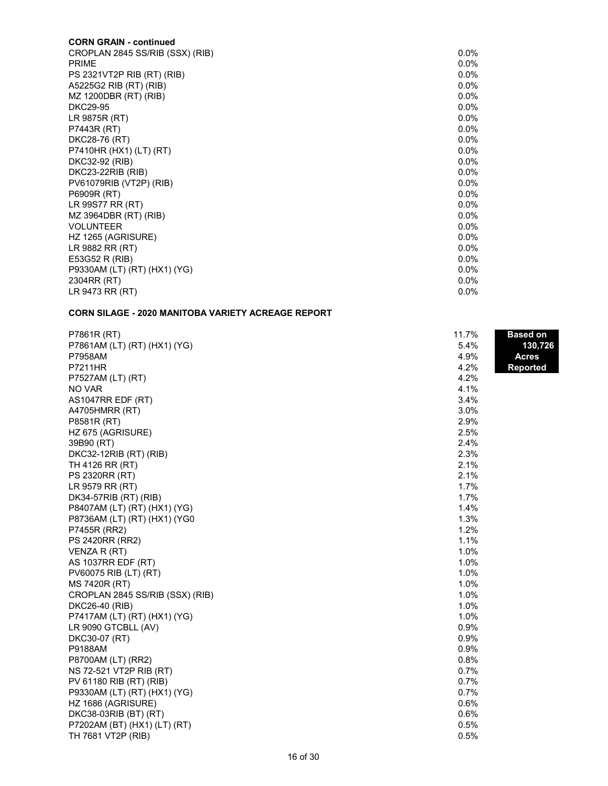# **CORN GRAIN - continued**

| CROPLAN 2845 SS/RIB (SSX) (RIB) | $0.0\%$ |
|---------------------------------|---------|
| <b>PRIME</b>                    | $0.0\%$ |
| PS 2321VT2P RIB (RT) (RIB)      | $0.0\%$ |
| A5225G2 RIB (RT) (RIB)          | $0.0\%$ |
| MZ 1200DBR (RT) (RIB)           | $0.0\%$ |
| <b>DKC29-95</b>                 | $0.0\%$ |
| LR 9875R (RT)                   | $0.0\%$ |
| P7443R (RT)                     | $0.0\%$ |
| DKC28-76 (RT)                   | $0.0\%$ |
| P7410HR (HX1) (LT) (RT)         | $0.0\%$ |
| DKC32-92 (RIB)                  | $0.0\%$ |
| DKC23-22RIB (RIB)               | $0.0\%$ |
| PV61079RIB (VT2P) (RIB)         | $0.0\%$ |
| P6909R (RT)                     | $0.0\%$ |
| LR 99S77 RR (RT)                | $0.0\%$ |
| MZ 3964DBR (RT) (RIB)           | $0.0\%$ |
| <b>VOLUNTEER</b>                | $0.0\%$ |
| HZ 1265 (AGRISURE)              | $0.0\%$ |
| LR 9882 RR (RT)                 | $0.0\%$ |
| E53G52 R (RIB)                  | $0.0\%$ |
| P9330AM (LT) (RT) (HX1) (YG)    | $0.0\%$ |
| 2304RR (RT)                     | $0.0\%$ |
| LR 9473 RR (RT)                 | $0.0\%$ |

# **CORN SILAGE - 2020 MANITOBA VARIETY ACREAGE REPORT**

| P7861R (RT)                     | 11.7% | <u>Ba</u> sed on |
|---------------------------------|-------|------------------|
| P7861AM (LT) (RT) (HX1) (YG)    | 5.4%  | 130,726          |
| P7958AM                         | 4.9%  | <b>Acres</b>     |
| <b>P7211HR</b>                  | 4.2%  | <b>Reported</b>  |
| P7527AM (LT) (RT)               | 4.2%  |                  |
| <b>NO VAR</b>                   | 4.1%  |                  |
| AS1047RR EDF (RT)               | 3.4%  |                  |
| A4705HMRR (RT)                  | 3.0%  |                  |
| P8581R (RT)                     | 2.9%  |                  |
| HZ 675 (AGRISURE)               | 2.5%  |                  |
| 39B90 (RT)                      | 2.4%  |                  |
| DKC32-12RIB (RT) (RIB)          | 2.3%  |                  |
| TH 4126 RR (RT)                 | 2.1%  |                  |
| PS 2320RR (RT)                  | 2.1%  |                  |
| LR 9579 RR (RT)                 | 1.7%  |                  |
| DK34-57RIB (RT) (RIB)           | 1.7%  |                  |
| P8407AM (LT) (RT) (HX1) (YG)    | 1.4%  |                  |
| P8736AM (LT) (RT) (HX1) (YG0    | 1.3%  |                  |
| P7455R (RR2)                    | 1.2%  |                  |
| PS 2420RR (RR2)                 | 1.1%  |                  |
| VENZA R (RT)                    | 1.0%  |                  |
| AS 1037RR EDF (RT)              | 1.0%  |                  |
| PV60075 RIB (LT) (RT)           | 1.0%  |                  |
| MS 7420R (RT)                   | 1.0%  |                  |
| CROPLAN 2845 SS/RIB (SSX) (RIB) | 1.0%  |                  |
| DKC26-40 (RIB)                  | 1.0%  |                  |
| P7417AM (LT) (RT) (HX1) (YG)    | 1.0%  |                  |
| LR 9090 GTCBLL (AV)             | 0.9%  |                  |
| DKC30-07 (RT)                   | 0.9%  |                  |
| <b>P9188AM</b>                  | 0.9%  |                  |
| P8700AM (LT) (RR2)              | 0.8%  |                  |
| NS 72-521 VT2P RIB (RT)         | 0.7%  |                  |
| PV 61180 RIB (RT) (RIB)         | 0.7%  |                  |
| P9330AM (LT) (RT) (HX1) (YG)    | 0.7%  |                  |
| HZ 1686 (AGRISURE)              | 0.6%  |                  |
| DKC38-03RIB (BT) (RT)           | 0.6%  |                  |
| P7202AM (BT) (HX1) (LT) (RT)    | 0.5%  |                  |
| TH 7681 VT2P (RIB)              | 0.5%  |                  |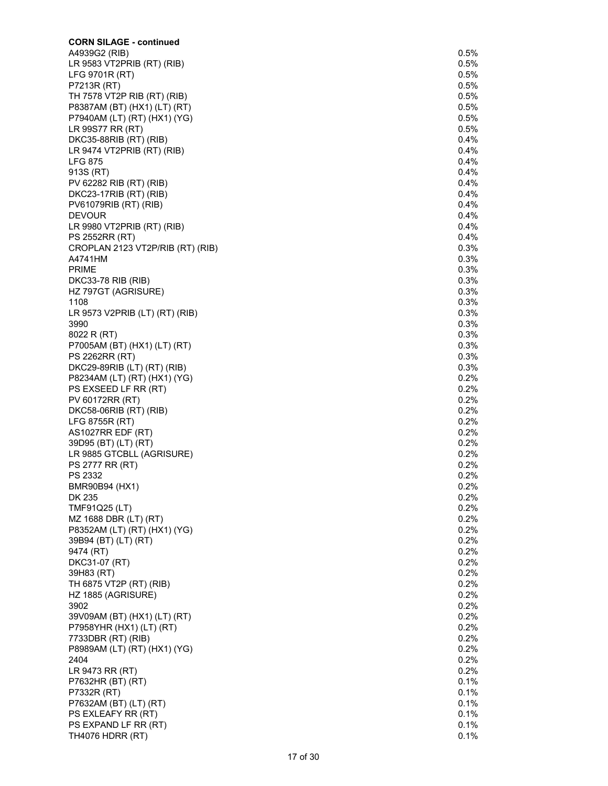| <b>CORN SILAGE - continued</b>                              |              |
|-------------------------------------------------------------|--------------|
| A4939G2 (RIB)                                               | 0.5%         |
| LR 9583 VT2PRIB (RT) (RIB)                                  | 0.5%         |
| LFG 9701R (RT)<br>P7213R (RT)                               | 0.5%<br>0.5% |
| TH 7578 VT2P RIB (RT) (RIB)                                 | 0.5%         |
| P8387AM (BT) (HX1) (LT) (RT)                                | 0.5%         |
| P7940AM (LT) (RT) (HX1) (YG)                                | 0.5%         |
| LR 99S77 RR (RT)                                            | 0.5%         |
| DKC35-88RIB (RT) (RIB)                                      | 0.4%         |
| LR 9474 VT2PRIB (RT) (RIB)                                  | 0.4%         |
| <b>LFG 875</b><br>913S (RT)                                 | 0.4%<br>0.4% |
| PV 62282 RIB (RT) (RIB)                                     | 0.4%         |
| DKC23-17RIB (RT) (RIB)                                      | 0.4%         |
| PV61079RIB (RT) (RIB)                                       | 0.4%         |
| <b>DEVOUR</b>                                               | 0.4%         |
| LR 9980 VT2PRIB (RT) (RIB)                                  | 0.4%         |
| PS 2552RR (RT)                                              | 0.4%         |
| CROPLAN 2123 VT2P/RIB (RT) (RIB)                            | 0.3%         |
| A4741HM<br><b>PRIME</b>                                     | 0.3%<br>0.3% |
| DKC33-78 RIB (RIB)                                          | 0.3%         |
| HZ 797GT (AGRISURE)                                         | 0.3%         |
| 1108                                                        | 0.3%         |
| LR 9573 V2PRIB (LT) (RT) (RIB)                              | 0.3%         |
| 3990                                                        | 0.3%         |
| 8022 R (RT)                                                 | 0.3%         |
| P7005AM (BT) (HX1) (LT) (RT)                                | 0.3%         |
| PS 2262RR (RT)                                              | 0.3%<br>0.3% |
| DKC29-89RIB (LT) (RT) (RIB)<br>P8234AM (LT) (RT) (HX1) (YG) | 0.2%         |
| PS EXSEED LF RR (RT)                                        | 0.2%         |
| PV 60172RR (RT)                                             | 0.2%         |
| DKC58-06RIB (RT) (RIB)                                      | 0.2%         |
| LFG 8755R (RT)                                              | 0.2%         |
| AS1027RR EDF (RT)                                           | 0.2%         |
| 39D95 (BT) (LT) (RT)                                        | 0.2%         |
| LR 9885 GTCBLL (AGRISURE)                                   | 0.2%         |
| PS 2777 RR (RT)<br>PS 2332                                  | 0.2%         |
| BMR90B94 (HX1)                                              | 0.2%<br>0.2% |
| DK 235                                                      | 0.2%         |
| TMF91Q25 (LT)                                               | 0.2%         |
| MZ 1688 DBR (LT) (RT)                                       | 0.2%         |
| P8352AM (LT) (RT) (HX1) (YG)                                | 0.2%         |
| 39B94 (BT) (LT) (RT)                                        | 0.2%         |
| 9474 (RT)                                                   | 0.2%         |
| DKC31-07 (RT)                                               | 0.2%         |
| 39H83 (RT)<br>TH 6875 VT2P (RT) (RIB)                       | 0.2%<br>0.2% |
| HZ 1885 (AGRISURE)                                          | 0.2%         |
| 3902                                                        | 0.2%         |
| 39V09AM (BT) (HX1) (LT) (RT)                                | 0.2%         |
| P7958YHR (HX1) (LT) (RT)                                    | 0.2%         |
| 7733DBR (RT) (RIB)                                          | 0.2%         |
| P8989AM (LT) (RT) (HX1) (YG)                                | 0.2%         |
| 2404                                                        | 0.2%         |
| LR 9473 RR (RT)                                             | 0.2%<br>0.1% |
| P7632HR (BT) (RT)<br>P7332R (RT)                            | 0.1%         |
| P7632AM (BT) (LT) (RT)                                      | 0.1%         |
| PS EXLEAFY RR (RT)                                          | 0.1%         |
| PS EXPAND LF RR (RT)                                        | 0.1%         |
| <b>TH4076 HDRR (RT)</b>                                     | 0.1%         |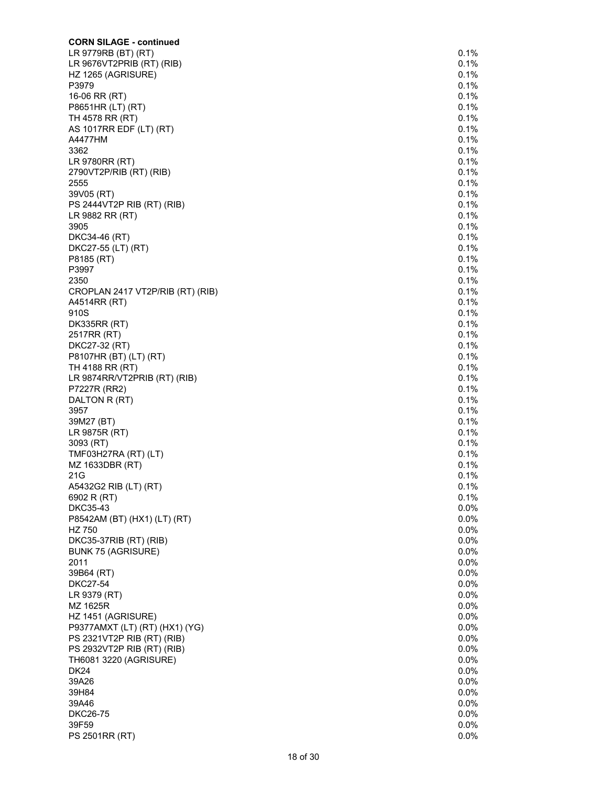| <b>CORN SILAGE - continued</b>                           |              |
|----------------------------------------------------------|--------------|
| LR 9779RB (BT) (RT)                                      | 0.1%         |
| LR 9676VT2PRIB (RT) (RIB)                                | 0.1%<br>0.1% |
| HZ 1265 (AGRISURE)<br>P3979                              | 0.1%         |
| 16-06 RR (RT)                                            | 0.1%         |
| P8651HR (LT) (RT)                                        | 0.1%         |
| TH 4578 RR (RT)                                          | 0.1%         |
| AS 1017RR EDF (LT) (RT)                                  | 0.1%         |
| A4477HM                                                  | 0.1%<br>0.1% |
| 3362<br>LR 9780RR (RT)                                   | 0.1%         |
| 2790VT2P/RIB (RT) (RIB)                                  | 0.1%         |
| 2555                                                     | 0.1%         |
| 39V05 (RT)                                               | 0.1%         |
| PS 2444VT2P RIB (RT) (RIB)                               | 0.1%         |
| LR 9882 RR (RT)                                          | 0.1%         |
| 3905<br>DKC34-46 (RT)                                    | 0.1%<br>0.1% |
| DKC27-55 (LT) (RT)                                       | 0.1%         |
| P8185 (RT)                                               | 0.1%         |
| P3997                                                    | 0.1%         |
| 2350                                                     | 0.1%         |
| CROPLAN 2417 VT2P/RIB (RT) (RIB)                         | 0.1%         |
| A4514RR (RT)                                             | 0.1%         |
| 910S<br><b>DK335RR (RT)</b>                              | 0.1%<br>0.1% |
| 2517RR (RT)                                              | 0.1%         |
| DKC27-32 (RT)                                            | 0.1%         |
| P8107HR (BT) (LT) (RT)                                   | 0.1%         |
| TH 4188 RR (RT)                                          | 0.1%         |
| LR 9874RR/VT2PRIB (RT) (RIB)                             | 0.1%         |
| P7227R (RR2)                                             | 0.1%<br>0.1% |
| DALTON R (RT)<br>3957                                    | 0.1%         |
| 39M27 (BT)                                               | 0.1%         |
| LR 9875R (RT)                                            | 0.1%         |
| 3093 (RT)                                                | 0.1%         |
| TMF03H27RA (RT) (LT)                                     | 0.1%         |
| MZ 1633DBR (RT)                                          | 0.1%         |
| 21G<br>A5432G2 RIB (LT) (RT)                             | 0.1%<br>0.1% |
| 6902 R (RT)                                              | 0.1%         |
| DKC35-43                                                 | 0.0%         |
| P8542AM (BT) (HX1) (LT) (RT)                             | 0.0%         |
| HZ 750                                                   | 0.0%         |
| DKC35-37RIB (RT) (RIB)                                   | 0.0%         |
| <b>BUNK 75 (AGRISURE)</b><br>2011                        | 0.0%<br>0.0% |
| 39B64 (RT)                                               | 0.0%         |
| <b>DKC27-54</b>                                          | 0.0%         |
| LR 9379 (RT)                                             | 0.0%         |
| MZ 1625R                                                 | 0.0%         |
| HZ 1451 (AGRISURE)                                       | 0.0%         |
| P9377AMXT (LT) (RT) (HX1) (YG)                           | 0.0%         |
| PS 2321VT2P RIB (RT) (RIB)<br>PS 2932VT2P RIB (RT) (RIB) | 0.0%<br>0.0% |
| TH6081 3220 (AGRISURE)                                   | 0.0%         |
| <b>DK24</b>                                              | 0.0%         |
| 39A26                                                    | 0.0%         |
| 39H84                                                    | 0.0%         |
| 39A46                                                    | 0.0%         |
| <b>DKC26-75</b>                                          | 0.0%         |
| 39F59                                                    | 0.0%         |
| PS 2501RR (RT)                                           | 0.0%         |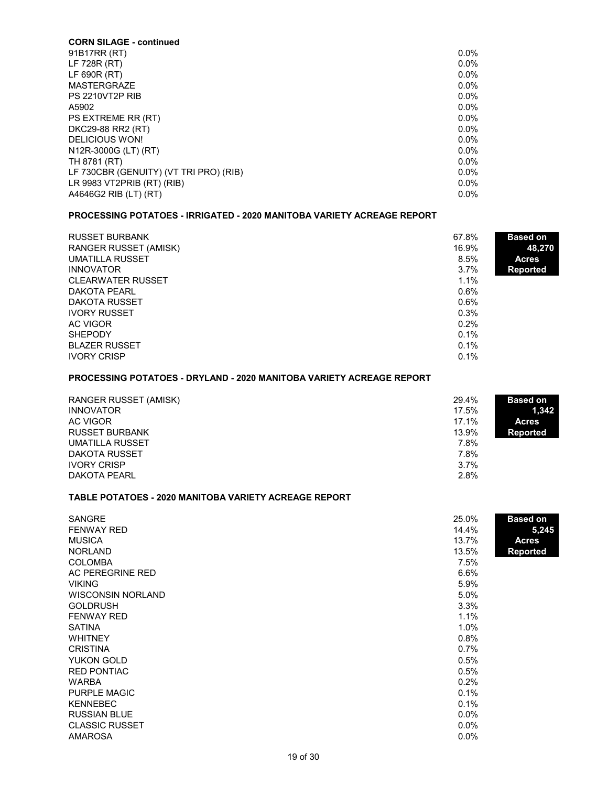| <b>CORN SILAGE - continued</b>         |         |
|----------------------------------------|---------|
| 91B17RR (RT)                           | 0.0%    |
| LF 728R (RT)                           | $0.0\%$ |
| LF 690R (RT)                           | $0.0\%$ |
| MASTERGRAZE                            | $0.0\%$ |
| <b>PS 2210VT2P RIB</b>                 | 0.0%    |
| A5902                                  | $0.0\%$ |
| PS EXTREME RR (RT)                     | $0.0\%$ |
| DKC29-88 RR2 (RT)                      | $0.0\%$ |
| DELICIOUS WON!                         | $0.0\%$ |
| N12R-3000G (LT) (RT)                   | $0.0\%$ |
| TH 8781 (RT)                           | $0.0\%$ |
| LF 730CBR (GENUITY) (VT TRI PRO) (RIB) | $0.0\%$ |
| LR 9983 VT2PRIB (RT) (RIB)             | $0.0\%$ |
| A4646G2 RIB (LT) (RT)                  | 0.0%    |

# **PROCESSING POTATOES - IRRIGATED - 2020 MANITOBA VARIETY ACREAGE REPORT**

| <b>RUSSET BURBANK</b>        | 67.8%   | <b>Based on</b> |
|------------------------------|---------|-----------------|
| <b>RANGER RUSSET (AMISK)</b> | 16.9%   | 48,270          |
| <b>UMATILLA RUSSET</b>       | 8.5%    | <b>Acres</b>    |
| <b>INNOVATOR</b>             | 3.7%    | <b>Reported</b> |
| <b>CLEARWATER RUSSET</b>     | 1.1%    |                 |
| <b>DAKOTA PEARL</b>          | 0.6%    |                 |
| DAKOTA RUSSET                | $0.6\%$ |                 |
| <b>IVORY RUSSET</b>          | 0.3%    |                 |
| AC VIGOR                     | 0.2%    |                 |
| <b>SHEPODY</b>               | $0.1\%$ |                 |
| <b>BLAZER RUSSET</b>         | 0.1%    |                 |
| <b>IVORY CRISP</b>           | 0.1%    |                 |

# **PROCESSING POTATOES - DRYLAND - 2020 MANITOBA VARIETY ACREAGE REPORT**

| <b>RANGER RUSSET (AMISK)</b> | 29.4% | <b>Based on</b> |
|------------------------------|-------|-----------------|
| <b>INNOVATOR</b>             | 17.5% | 1.342           |
| AC VIGOR                     | 17.1% | <b>Acres</b>    |
| <b>RUSSET BURBANK</b>        | 13.9% | <b>Reported</b> |
| <b>UMATILLA RUSSET</b>       | 7.8%  |                 |
| DAKOTA RUSSET                | 7.8%  |                 |
| <b>IVORY CRISP</b>           | 3.7%  |                 |
| DAKOTA PEARL                 | 2.8%  |                 |

# **TABLE POTATOES - 2020 MANITOBA VARIETY ACREAGE REPORT**

| <b>SANGRE</b>            | 25.0%   | <b>Based on</b> |
|--------------------------|---------|-----------------|
| <b>FENWAY RED</b>        | 14.4%   | 5,245           |
| <b>MUSICA</b>            | 13.7%   | <b>Acres</b>    |
| <b>NORLAND</b>           | 13.5%   | <b>Reported</b> |
| <b>COLOMBA</b>           | 7.5%    |                 |
| AC PEREGRINE RED         | 6.6%    |                 |
| <b>VIKING</b>            | 5.9%    |                 |
| <b>WISCONSIN NORLAND</b> | 5.0%    |                 |
| <b>GOLDRUSH</b>          | 3.3%    |                 |
| <b>FENWAY RED</b>        | 1.1%    |                 |
| <b>SATINA</b>            | 1.0%    |                 |
| <b>WHITNEY</b>           | 0.8%    |                 |
| <b>CRISTINA</b>          | 0.7%    |                 |
| YUKON GOLD               | 0.5%    |                 |
| <b>RED PONTIAC</b>       | 0.5%    |                 |
| <b>WARBA</b>             | 0.2%    |                 |
| <b>PURPLE MAGIC</b>      | 0.1%    |                 |
| <b>KENNEBEC</b>          | 0.1%    |                 |
| <b>RUSSIAN BLUE</b>      | $0.0\%$ |                 |
| <b>CLASSIC RUSSET</b>    | $0.0\%$ |                 |
| <b>AMAROSA</b>           | 0.0%    |                 |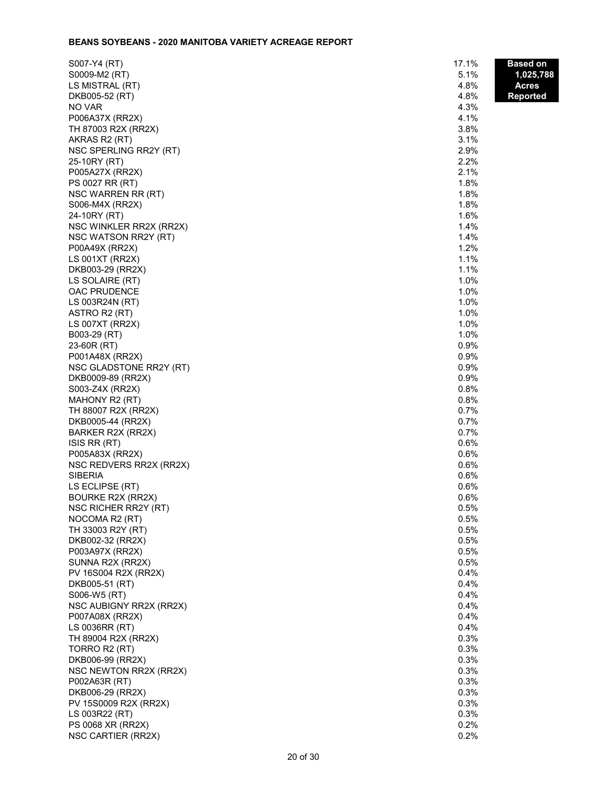## **BEANS SOYBEANS - 2020 MANITOBA VARIETY ACREAGE REPORT**

| S007-Y4 (RT)                             | 17.1%        | Based on  |
|------------------------------------------|--------------|-----------|
| S0009-M2 (RT)                            | 5.1%         | 1,025,788 |
| LS MISTRAL (RT)                          | 4.8%         | Acres     |
| DKB005-52 (RT)                           | 4.8%         | Reported  |
| NO VAR                                   | 4.3%         |           |
| P006A37X (RR2X)                          | 4.1%         |           |
| TH 87003 R2X (RR2X)                      | 3.8%         |           |
| AKRAS R2 (RT)                            | 3.1%         |           |
| NSC SPERLING RR2Y (RT)                   | 2.9%         |           |
| 25-10RY (RT)                             | 2.2%         |           |
| P005A27X (RR2X)                          | 2.1%         |           |
| PS 0027 RR (RT)                          | 1.8%         |           |
| NSC WARREN RR (RT)                       | 1.8%         |           |
| S006-M4X (RR2X)                          | 1.8%         |           |
| 24-10RY (RT)                             | 1.6%         |           |
| NSC WINKLER RR2X (RR2X)                  | 1.4%         |           |
| NSC WATSON RR2Y (RT)                     | 1.4%         |           |
| P00A49X (RR2X)                           | 1.2%         |           |
| LS $001XT$ (RR2X)                        | 1.1%         |           |
| DKB003-29 (RR2X)                         | 1.1%         |           |
| LS SOLAIRE (RT)                          | 1.0%         |           |
| OAC PRUDENCE                             | 1.0%         |           |
| LS 003R24N (RT)                          | 1.0%         |           |
| ASTRO R2 (RT)                            | 1.0%         |           |
| LS 007XT (RR2X)                          | 1.0%         |           |
| B003-29 (RT)                             | 1.0%         |           |
| 23-60R (RT)                              | 0.9%         |           |
| P001A48X (RR2X)                          | 0.9%         |           |
| NSC GLADSTONE RR2Y (RT)                  | 0.9%         |           |
| DKB0009-89 (RR2X)                        | 0.9%         |           |
| S003-Z4X (RR2X)                          | 0.8%         |           |
| MAHONY R2 (RT)                           | 0.8%         |           |
| TH 88007 R2X (RR2X)                      | 0.7%         |           |
| DKB0005-44 (RR2X)                        | 0.7%         |           |
| BARKER R2X (RR2X)                        | 0.7%         |           |
| ISIS RR (RT)                             | 0.6%         |           |
| P005A83X (RR2X)                          | 0.6%         |           |
| NSC REDVERS RR2X (RR2X)                  | 0.6%         |           |
| <b>SIBERIA</b>                           | 0.6%         |           |
| LS ECLIPSE (RT)                          | 0.6%         |           |
| <b>BOURKE R2X (RR2X)</b>                 | 0.6%         |           |
| NSC RICHER RR2Y (RT)                     | 0.5%         |           |
| NOCOMA R2 (RT)                           | 0.5%         |           |
| TH 33003 R2Y (RT)                        | 0.5%         |           |
| DKB002-32 (RR2X)                         | 0.5%         |           |
| P003A97X (RR2X)                          | 0.5%         |           |
| SUNNA R2X (RR2X)<br>PV 16S004 R2X (RR2X) | 0.5%         |           |
|                                          | 0.4%<br>0.4% |           |
| DKB005-51 (RT)<br>S006-W5 (RT)           | 0.4%         |           |
| NSC AUBIGNY RR2X (RR2X)                  | 0.4%         |           |
|                                          | 0.4%         |           |
| P007A08X (RR2X)<br>LS 0036RR (RT)        | 0.4%         |           |
| TH 89004 R2X (RR2X)                      | 0.3%         |           |
| TORRO R2 (RT)                            | 0.3%         |           |
| DKB006-99 (RR2X)                         | 0.3%         |           |
| NSC NEWTON RR2X (RR2X)                   | 0.3%         |           |
| P002A63R (RT)                            | 0.3%         |           |
| DKB006-29 (RR2X)                         | 0.3%         |           |
| PV 15S0009 R2X (RR2X)                    | 0.3%         |           |
| LS 003R22 (RT)                           | 0.3%         |           |
| PS 0068 XR (RR2X)                        | 0.2%         |           |
| NSC CARTIER (RR2X)                       | 0.2%         |           |
|                                          |              |           |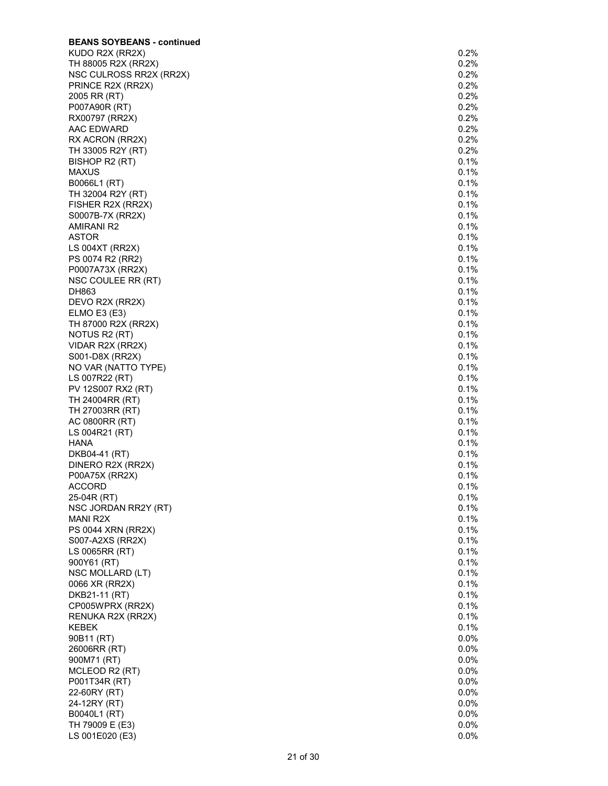| <b>BEANS SOYBEANS - continued</b> |      |
|-----------------------------------|------|
| KUDO R2X (RR2X)                   | 0.2% |
| TH 88005 R2X (RR2X)               | 0.2% |
| NSC CULROSS RR2X (RR2X)           | 0.2% |
| PRINCE R2X (RR2X)                 | 0.2% |
| 2005 RR (RT)                      | 0.2% |
| P007A90R (RT)                     | 0.2% |
| RX00797 (RR2X)                    | 0.2% |
| AAC EDWARD                        | 0.2% |
| RX ACRON (RR2X)                   | 0.2% |
| TH 33005 R2Y (RT)                 | 0.2% |
| BISHOP R2 (RT)                    | 0.1% |
| <b>MAXUS</b>                      | 0.1% |
| B0066L1 (RT)                      | 0.1% |
| TH 32004 R2Y (RT)                 | 0.1% |
| FISHER R2X (RR2X)                 | 0.1% |
| S0007B-7X (RR2X)                  | 0.1% |
| AMIRANI R2                        | 0.1% |
| <b>ASTOR</b>                      | 0.1% |
| LS 004XT (RR2X)                   | 0.1% |
| PS 0074 R2 (RR2)                  | 0.1% |
|                                   |      |
| P0007A73X (RR2X)                  | 0.1% |
| NSC COULEE RR (RT)                | 0.1% |
| DH863                             | 0.1% |
| DEVO R2X (RR2X)                   | 0.1% |
| ELMO E3 (E3)                      | 0.1% |
| TH 87000 R2X (RR2X)               | 0.1% |
| NOTUS R2 (RT)                     | 0.1% |
| VIDAR R2X (RR2X)                  | 0.1% |
| S001-D8X (RR2X)                   | 0.1% |
| NO VAR (NATTO TYPE)               | 0.1% |
| LS 007R22 (RT)                    | 0.1% |
| PV 12S007 RX2 (RT)                | 0.1% |
| TH 24004RR (RT)                   | 0.1% |
| TH 27003RR (RT)                   | 0.1% |
| AC 0800RR (RT)                    | 0.1% |
| LS 004R21 (RT)                    | 0.1% |
| HANA                              | 0.1% |
| DKB04-41 (RT)                     | 0.1% |
| DINERO R2X (RR2X)                 | 0.1% |
| P00A75X (RR2X)                    | 0.1% |
| <b>ACCORD</b>                     | 0.1% |
| 25-04R (RT)                       | 0.1% |
| NSC JORDAN RR2Y (RT)              | 0.1% |
| MANI R2X                          | 0.1% |
| PS 0044 XRN (RR2X)                | 0.1% |
| S007-A2XS (RR2X)                  | 0.1% |
| LS 0065RR (RT)                    | 0.1% |
| 900Y61 (RT)                       | 0.1% |
| NSC MOLLARD (LT)                  | 0.1% |
| 0066 XR (RR2X)                    | 0.1% |
| DKB21-11 (RT)                     | 0.1% |
|                                   |      |
| CP005WPRX (RR2X)                  | 0.1% |
| RENUKA R2X (RR2X)                 | 0.1% |
| KEBEK                             | 0.1% |
| 90B11 (RT)                        | 0.0% |
| 26006RR (RT)                      | 0.0% |
| 900M71 (RT)                       | 0.0% |
| MCLEOD R2 (RT)                    | 0.0% |
| P001T34R (RT)                     | 0.0% |
| 22-60RY (RT)                      | 0.0% |
| 24-12RY (RT)                      | 0.0% |
| B0040L1 (RT)                      | 0.0% |
| TH 79009 E (E3)                   | 0.0% |
| LS 001E020 (E3)                   | 0.0% |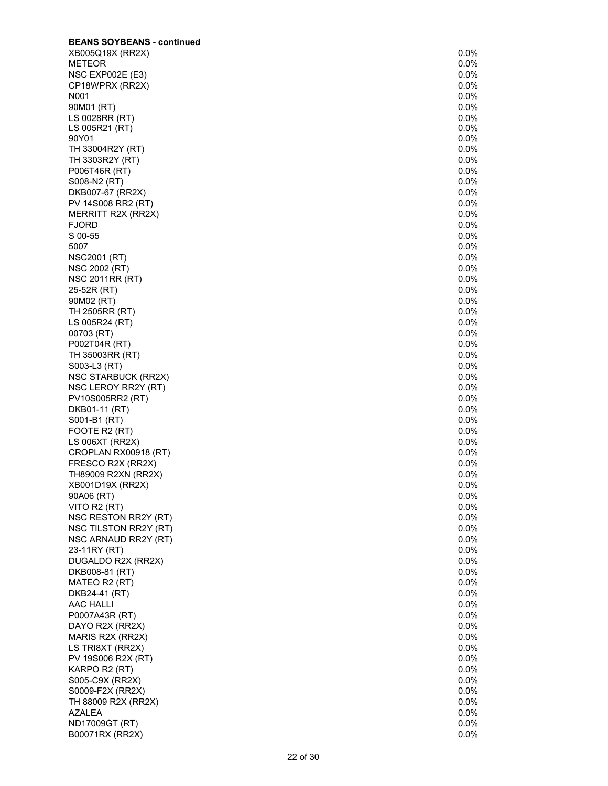| <b>BEANS SOYBEANS - continued</b>  |                 |
|------------------------------------|-----------------|
| XB005Q19X (RR2X)                   | 0.0%            |
| <b>METEOR</b>                      | 0.0%            |
| NSC EXP002E (E3)                   | 0.0%            |
| CP18WPRX (RR2X)                    | 0.0%            |
| N001                               | 0.0%            |
| 90M01 (RT)                         | 0.0%            |
| LS 0028RR (RT)                     | $0.0\%$         |
| LS 005R21 (RT)                     | 0.0%            |
| 90Y01                              | 0.0%            |
| TH 33004R2Y (RT)                   | 0.0%            |
| TH 3303R2Y (RT)                    | 0.0%            |
| P006T46R (RT)                      | 0.0%            |
| S008-N2 (RT)                       | 0.0%            |
| DKB007-67 (RR2X)                   | $0.0\%$<br>0.0% |
| PV 14S008 RR2 (RT)                 | 0.0%            |
| MERRITT R2X (RR2X)<br><b>FJORD</b> | 0.0%            |
| S 00-55                            | 0.0%            |
| 5007                               | 0.0%            |
| <b>NSC2001 (RT)</b>                | 0.0%            |
| NSC 2002 (RT)                      | 0.0%            |
| <b>NSC 2011RR (RT)</b>             | 0.0%            |
| 25-52R (RT)                        | 0.0%            |
| 90M02 (RT)                         | 0.0%            |
| TH 2505RR (RT)                     | $0.0\%$         |
| LS 005R24 (RT)                     | 0.0%            |
| 00703 (RT)                         | 0.0%            |
| P002T04R (RT)                      | 0.0%            |
| TH 35003RR (RT)                    | 0.0%            |
| S003-L3 (RT)                       | 0.0%            |
| NSC STARBUCK (RR2X)                | 0.0%            |
| NSC LEROY RR2Y (RT)                | 0.0%            |
| PV10S005RR2 (RT)                   | 0.0%            |
| DKB01-11 (RT)                      | 0.0%            |
| S001-B1 (RT)                       | 0.0%            |
| FOOTE R2 (RT)                      | 0.0%            |
| LS 006XT (RR2X)                    | 0.0%            |
| CROPLAN RX00918 (RT)               | 0.0%            |
| FRESCO R2X (RR2X)                  | 0.0%            |
| TH89009 R2XN (RR2X)                | 0.0%            |
| XB001D19X (RR2X)                   | 0.0%            |
| 90A06 (RT)                         | 0.0%            |
| VITO R2 (RT)                       | 0.0%            |
| NSC RESTON RR2Y (RT)               | 0.0%            |
| NSC TILSTON RR2Y (RT)              | 0.0%            |
| NSC ARNAUD RR2Y (RT)               | 0.0%            |
| 23-11RY (RT)                       | 0.0%            |
| DUGALDO R2X (RR2X)                 | 0.0%            |
| DKB008-81 (RT)                     | 0.0%            |
| MATEO R2 (RT)                      | 0.0%            |
| DKB24-41 (RT)                      | 0.0%            |
| AAC HALLI                          | 0.0%            |
| P0007A43R (RT)                     | 0.0%            |
| DAYO R2X (RR2X)                    | 0.0%            |
| MARIS R2X (RR2X)                   | 0.0%            |
| LS TRI8XT (RR2X)                   | 0.0%            |
| PV 19S006 R2X (RT)                 | 0.0%            |
| KARPO R2 (RT)                      | 0.0%            |
| S005-C9X (RR2X)                    | 0.0%            |
| S0009-F2X (RR2X)                   | 0.0%            |
| TH 88009 R2X (RR2X)                | 0.0%            |
| <b>AZALEA</b>                      | 0.0%            |
| ND17009GT (RT)                     | 0.0%            |
| B00071RX (RR2X)                    | 0.0%            |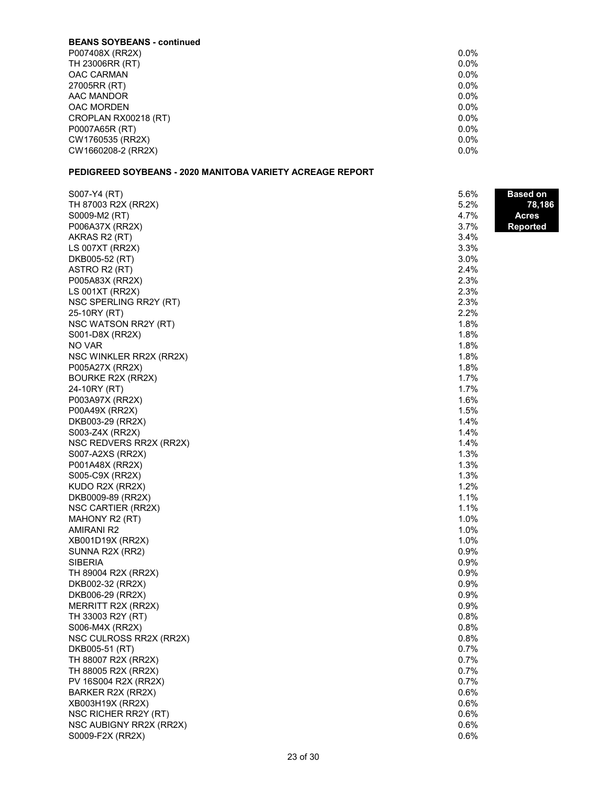#### **BEANS SOYBEANS - continued** P007408X (RR2X) 148 0.0% TH 23006RR (RT) 0.0% 23 0.0% 25 0.0% 25 0.0% 25 0.0% 25 0.0% 25 0.0% 25 0.0% 25 0.0% 25 0.0% 25 0.0% 25 0.0% 2 OAC CARMAN 15 0.0% 27005RR (RT) AAC MANDOR 6.0% OAC MORDEN 30.0% CROPLAN RX00218 (RT) 50 0.0% P0007A65R (RT) 25 0.0% CW1760535 (RR2X) CW1660208-2 (RR2X) 0.0%

# **PEDIGREED SOYBEANS - 2020 MANITOBA VARIETY ACREAGE REPORT**

| S007-Y4 (RT)                            | 5.6% | <b>Based on</b> |
|-----------------------------------------|------|-----------------|
| TH 87003 R2X (RR2X)                     | 5.2% | 78,186          |
| S0009-M2 (RT)                           | 4.7% | <b>Acres</b>    |
| P006A37X (RR2X)                         | 3.7% | <b>Reported</b> |
| AKRAS R2 (RT)                           | 3.4% |                 |
| LS 007XT (RR2X)                         | 3.3% |                 |
| DKB005-52 (RT)                          | 3.0% |                 |
| ASTRO R2 (RT)                           | 2.4% |                 |
| P005A83X (RR2X)                         | 2.3% |                 |
| LS 001XT (RR2X)                         | 2.3% |                 |
| NSC SPERLING RR2Y (RT)                  | 2.3% |                 |
| 25-10RY (RT)                            | 2.2% |                 |
| NSC WATSON RR2Y (RT)                    | 1.8% |                 |
| S001-D8X (RR2X)                         | 1.8% |                 |
| NO VAR                                  | 1.8% |                 |
| NSC WINKLER RR2X (RR2X)                 | 1.8% |                 |
| P005A27X (RR2X)                         | 1.8% |                 |
| <b>BOURKE R2X (RR2X)</b>                | 1.7% |                 |
| 24-10RY (RT)                            | 1.7% |                 |
| P003A97X (RR2X)                         | 1.6% |                 |
| P00A49X (RR2X)                          | 1.5% |                 |
| DKB003-29 (RR2X)                        | 1.4% |                 |
| S003-Z4X (RR2X)                         | 1.4% |                 |
| NSC REDVERS RR2X (RR2X)                 | 1.4% |                 |
| S007-A2XS (RR2X)                        | 1.3% |                 |
| P001A48X (RR2X)                         | 1.3% |                 |
| S005-C9X (RR2X)                         | 1.3% |                 |
| KUDO R2X (RR2X)                         | 1.2% |                 |
| DKB0009-89 (RR2X)                       | 1.1% |                 |
| NSC CARTIER (RR2X)                      | 1.1% |                 |
| MAHONY R2 (RT)                          | 1.0% |                 |
| AMIRANI R2                              | 1.0% |                 |
| XB001D19X (RR2X)                        | 1.0% |                 |
|                                         | 0.9% |                 |
| SUNNA R2X (RR2)<br><b>SIBERIA</b>       | 0.9% |                 |
|                                         | 0.9% |                 |
| TH 89004 R2X (RR2X)<br>DKB002-32 (RR2X) | 0.9% |                 |
| DKB006-29 (RR2X)                        | 0.9% |                 |
|                                         | 0.9% |                 |
| MERRITT R2X (RR2X)                      | 0.8% |                 |
| TH 33003 R2Y (RT)                       | 0.8% |                 |
| S006-M4X (RR2X)                         |      |                 |
| NSC CULROSS RR2X (RR2X)                 | 0.8% |                 |
| DKB005-51 (RT)                          | 0.7% |                 |
| TH 88007 R2X (RR2X)                     | 0.7% |                 |
| TH 88005 R2X (RR2X)                     | 0.7% |                 |
| PV 16S004 R2X (RR2X)                    | 0.7% |                 |
| BARKER R2X (RR2X)                       | 0.6% |                 |
| XB003H19X (RR2X)                        | 0.6% |                 |
| NSC RICHER RR2Y (RT)                    | 0.6% |                 |
| NSC AUBIGNY RR2X (RR2X)                 | 0.6% |                 |
| S0009-F2X (RR2X)                        | 0.6% |                 |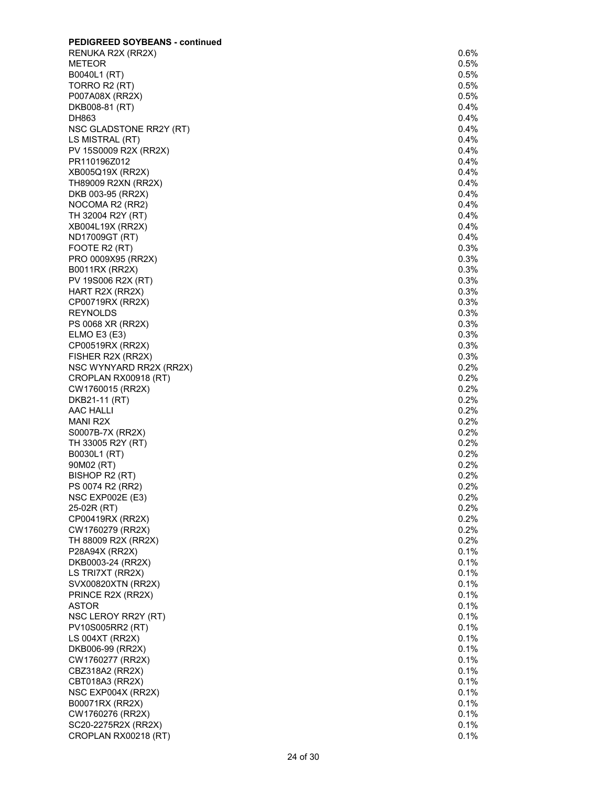| <b>PEDIGREED SOYBEANS - continued</b>   |              |
|-----------------------------------------|--------------|
| RENUKA R2X (RR2X)                       | $0.6\%$      |
| METEOR                                  | 0.5%         |
| B0040L1 (RT)                            | 0.5%         |
| TORRO R2 (RT)                           | 0.5%         |
| P007A08X (RR2X)                         | 0.5%         |
| DKB008-81 (RT)                          | 0.4%         |
| DH863<br>NSC GLADSTONE RR2Y (RT)        | 0.4%<br>0.4% |
| LS MISTRAL (RT)                         | 0.4%         |
| PV 15S0009 R2X (RR2X)                   | 0.4%         |
| PR110196Z012                            | 0.4%         |
| XB005Q19X (RR2X)                        | 0.4%         |
| TH89009 R2XN (RR2X)                     | 0.4%         |
| DKB 003-95 (RR2X)                       | 0.4%         |
| NOCOMA R2 (RR2)                         | 0.4%         |
| TH 32004 R2Y (RT)                       | 0.4%         |
| XB004L19X (RR2X)                        | $0.4\%$      |
| ND17009GT (RT)                          | 0.4%         |
| FOOTE R2 (RT)                           | 0.3%         |
| PRO 0009X95 (RR2X)                      | 0.3%         |
| B0011RX (RR2X)                          | 0.3%         |
| PV 19S006 R2X (RT)                      | 0.3%<br>0.3% |
| HART R2X (RR2X)<br>CP00719RX (RR2X)     | 0.3%         |
| <b>REYNOLDS</b>                         | 0.3%         |
| PS 0068 XR (RR2X)                       | 0.3%         |
| ELMO E3(E3)                             | 0.3%         |
| CP00519RX (RR2X)                        | 0.3%         |
| FISHER R2X (RR2X)                       | 0.3%         |
| NSC WYNYARD RR2X (RR2X)                 | 0.2%         |
| CROPLAN RX00918 (RT)                    | 0.2%         |
| CW1760015 (RR2X)                        | 0.2%         |
| DKB21-11 (RT)                           | 0.2%         |
| AAC HALLI                               | 0.2%         |
| MANI R2X                                | 0.2%         |
| S0007B-7X (RR2X)                        | 0.2%<br>0.2% |
| TH 33005 R2Y (RT)<br>B0030L1 (RT)       | 0.2%         |
| 90M02 (RT)                              | 0.2%         |
| BISHOP R2 (RT)                          | 0.2%         |
| PS 0074 R2 (RR2)                        | 0.2%         |
| <b>NSC EXP002E (E3)</b>                 | 0.2%         |
| 25-02R (RT)                             | 0.2%         |
| CP00419RX (RR2X)                        | 0.2%         |
| CW1760279 (RR2X)                        | 0.2%         |
| TH 88009 R2X (RR2X)                     | 0.2%         |
| P28A94X (RR2X)                          | 0.1%         |
| DKB0003-24 (RR2X)                       | 0.1%         |
| LS TRI7XT (RR2X)                        | 0.1%<br>0.1% |
| SVX00820XTN (RR2X)<br>PRINCE R2X (RR2X) | 0.1%         |
| <b>ASTOR</b>                            | 0.1%         |
| NSC LEROY RR2Y (RT)                     | 0.1%         |
| PV10S005RR2 (RT)                        | 0.1%         |
| LS 004XT (RR2X)                         | 0.1%         |
| DKB006-99 (RR2X)                        | 0.1%         |
| CW1760277 (RR2X)                        | 0.1%         |
| CBZ318A2 (RR2X)                         | 0.1%         |
| CBT018A3 (RR2X)                         | 0.1%         |
| NSC EXP004X (RR2X)                      | 0.1%         |
| B00071RX (RR2X)                         | 0.1%         |
| CW1760276 (RR2X)                        | 0.1%         |
| SC20-2275R2X (RR2X)                     | 0.1%         |
| CROPLAN RX00218 (RT)                    | 0.1%         |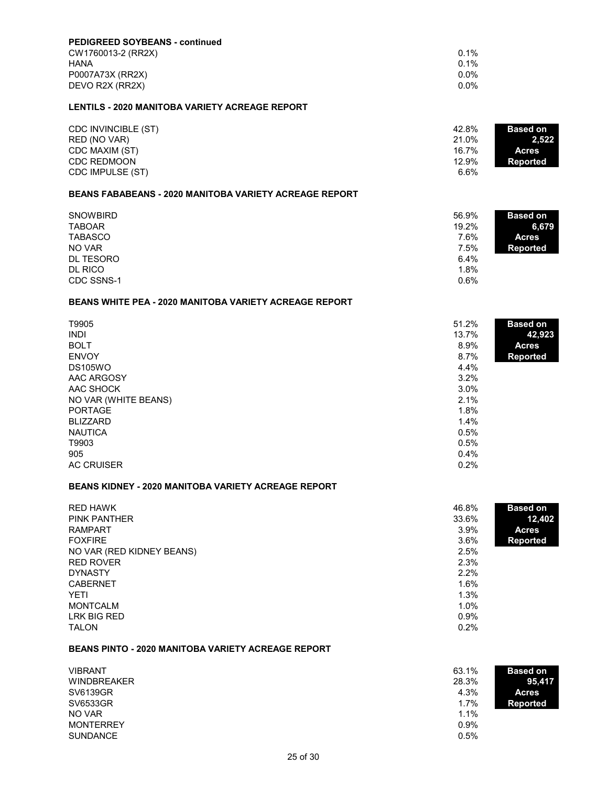| <b>PEDIGREED SOYBEANS - continued</b> |         |
|---------------------------------------|---------|
| CW1760013-2 (RR2X)                    | $0.1\%$ |
| HANA                                  | $0.1\%$ |
| P0007A73X (RR2X)                      | $0.0\%$ |
| DEVO R2X (RR2X)                       | $0.0\%$ |

### **LENTILS - 2020 MANITOBA VARIETY ACREAGE REPORT**

| CDC INVINCIBLE (ST) | 42.8% | <b>Based on</b> |
|---------------------|-------|-----------------|
| RED (NO VAR)        | 21.0% | 2.522           |
| CDC MAXIM (ST)      | 16.7% | <b>Acres</b>    |
| <b>CDC REDMOON</b>  | 12.9% | Reported        |
| CDC IMPULSE (ST)    | 6.6%  |                 |

### **BEANS FABABEANS - 2020 MANITOBA VARIETY ACREAGE REPORT**

| <b>SNOWBIRD</b> | 56.9% | <b>Based on</b> |
|-----------------|-------|-----------------|
| <b>TABOAR</b>   | 19.2% | 6,679           |
| <b>TABASCO</b>  | 7.6%  | <b>Acres</b>    |
| NO VAR          | 7.5%  | Reported        |
| DL TESORO       | 6.4%  |                 |
| DL RICO         | 1.8%  |                 |
| CDC SSNS-1      | 0.6%  |                 |

### **BEANS WHITE PEA - 2020 MANITOBA VARIETY ACREAGE REPORT**

| T9905<br><b>INDI</b><br><b>BOLT</b><br><b>ENVOY</b><br><b>DS105WO</b><br>AAC ARGOSY<br>AAC SHOCK<br>NO VAR (WHITE BEANS)<br><b>PORTAGE</b><br><b>BLIZZARD</b><br><b>NAUTICA</b><br>T9903<br>905 | 51.2%<br><b>Based on</b><br>42,923<br>13.7%<br>8.9%<br><b>Acres</b><br>8.7%<br><b>Reported</b><br>4.4%<br>3.2%<br>3.0%<br>2.1%<br>1.8%<br>1.4%<br>0.5%<br>0.5%<br>0.4% |  |
|-------------------------------------------------------------------------------------------------------------------------------------------------------------------------------------------------|------------------------------------------------------------------------------------------------------------------------------------------------------------------------|--|
| <b>AC CRUISER</b>                                                                                                                                                                               | 0.2%                                                                                                                                                                   |  |

# **BEANS KIDNEY - 2020 MANITOBA VARIETY ACREAGE REPORT**

| <b>RED HAWK</b>           | 46.8%   | <b>Based on</b> |
|---------------------------|---------|-----------------|
| <b>PINK PANTHER</b>       | 33.6%   | 12,402          |
| <b>RAMPART</b>            | $3.9\%$ | <b>Acres</b>    |
| <b>FOXFIRE</b>            | $3.6\%$ | <b>Reported</b> |
| NO VAR (RED KIDNEY BEANS) | 2.5%    |                 |
| <b>RED ROVER</b>          | 2.3%    |                 |
| <b>DYNASTY</b>            | $2.2\%$ |                 |
| <b>CABERNET</b>           | 1.6%    |                 |
| <b>YETI</b>               | 1.3%    |                 |
| <b>MONTCALM</b>           | 1.0%    |                 |
| LRK BIG RED               | $0.9\%$ |                 |
| <b>TALON</b>              | 0.2%    |                 |

#### **BEANS PINTO - 2020 MANITOBA VARIETY ACREAGE REPORT**

| <b>VIBRANT</b>     | 63.1%<br><b>Based on</b> |  |
|--------------------|--------------------------|--|
| <b>WINDBREAKER</b> | 28.3%<br>95,417          |  |
| SV6139GR           | 4.3%<br><b>Acres</b>     |  |
| SV6533GR           | 1.7%<br><b>Reported</b>  |  |
| NO VAR             | 1.1%                     |  |
| <b>MONTERREY</b>   | $0.9\%$                  |  |
| <b>SUNDANCE</b>    | 0.5%                     |  |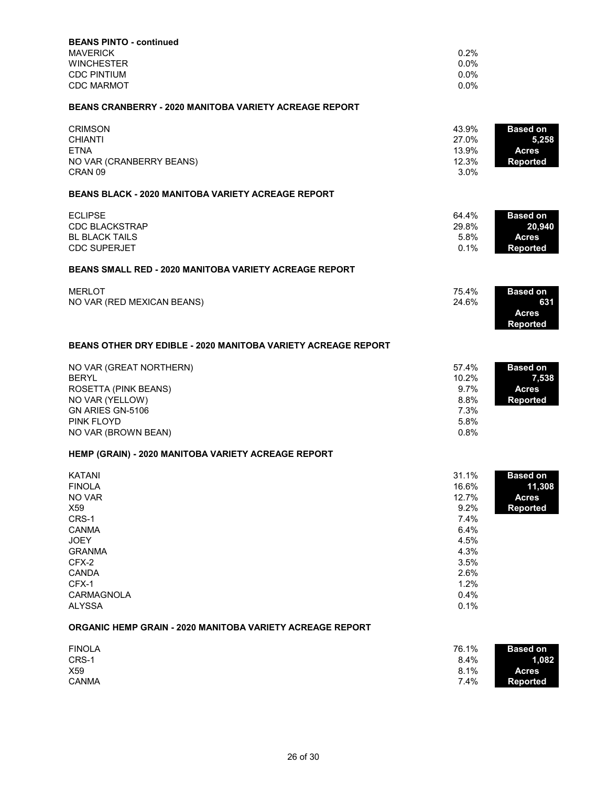| <b>BEANS PINTO - continued</b><br><b>MAVERICK</b><br><b>WINCHESTER</b><br><b>CDC PINTIUM</b><br><b>CDC MARMOT</b>                                                  | 0.2%<br>0.0%<br>0.0%<br>0.0%                                                                            |                                                              |
|--------------------------------------------------------------------------------------------------------------------------------------------------------------------|---------------------------------------------------------------------------------------------------------|--------------------------------------------------------------|
| <b>BEANS CRANBERRY - 2020 MANITOBA VARIETY ACREAGE REPORT</b>                                                                                                      |                                                                                                         |                                                              |
| <b>CRIMSON</b><br><b>CHIANTI</b><br><b>FTNA</b><br>NO VAR (CRANBERRY BEANS)<br>CRAN <sub>09</sub>                                                                  | 43.9%<br>27.0%<br>13.9%<br>12.3%<br>3.0%                                                                | <b>Based on</b><br>5,258<br><b>Acres</b><br><b>Reported</b>  |
| <b>BEANS BLACK - 2020 MANITOBA VARIETY ACREAGE REPORT</b>                                                                                                          |                                                                                                         |                                                              |
| <b>ECLIPSE</b><br>CDC BLACKSTRAP<br><b>BL BLACK TAILS</b><br><b>CDC SUPERJET</b>                                                                                   | 64.4%<br>29.8%<br>5.8%<br>0.1%                                                                          | <b>Based on</b><br>20,940<br><b>Acres</b><br><b>Reported</b> |
| <b>BEANS SMALL RED - 2020 MANITOBA VARIETY ACREAGE REPORT</b>                                                                                                      |                                                                                                         |                                                              |
| <b>MERLOT</b><br>NO VAR (RED MEXICAN BEANS)                                                                                                                        | 75.4%<br>24.6%                                                                                          | <b>Based on</b><br>631<br><b>Acres</b><br><b>Reported</b>    |
| <b>BEANS OTHER DRY EDIBLE - 2020 MANITOBA VARIETY ACREAGE REPORT</b>                                                                                               |                                                                                                         |                                                              |
| NO VAR (GREAT NORTHERN)<br><b>BERYL</b><br>ROSETTA (PINK BEANS)<br>NO VAR (YELLOW)<br>GN ARIES GN-5106<br>PINK FLOYD<br>NO VAR (BROWN BEAN)                        | 57.4%<br>10.2%<br>9.7%<br>8.8%<br>7.3%<br>5.8%<br>0.8%                                                  | <b>Based on</b><br>7,538<br><b>Acres</b><br><b>Reported</b>  |
| HEMP (GRAIN) - 2020 MANITOBA VARIETY ACREAGE REPORT                                                                                                                |                                                                                                         |                                                              |
| KATANI<br><b>FINOLA</b><br>NO VAR<br>X59<br>CRS-1<br><b>CANMA</b><br><b>JOEY</b><br><b>GRANMA</b><br>CFX-2<br><b>CANDA</b><br>CFX-1<br>CARMAGNOLA<br><b>ALYSSA</b> | 31.1%<br>16.6%<br>12.7%<br>9.2%<br>7.4%<br>6.4%<br>4.5%<br>4.3%<br>3.5%<br>2.6%<br>1.2%<br>0.4%<br>0.1% | <b>Based on</b><br>11,308<br><b>Acres</b><br><b>Reported</b> |
| <b>ORGANIC HEMP GRAIN - 2020 MANITOBA VARIETY ACREAGE REPORT</b>                                                                                                   |                                                                                                         |                                                              |
| <b>FINOLA</b><br>CRS-1<br>X59<br><b>CANMA</b>                                                                                                                      | 76.1%<br>8.4%<br>8.1%<br>7.4%                                                                           | <b>Based on</b><br>1,082<br><b>Acres</b><br><b>Reported</b>  |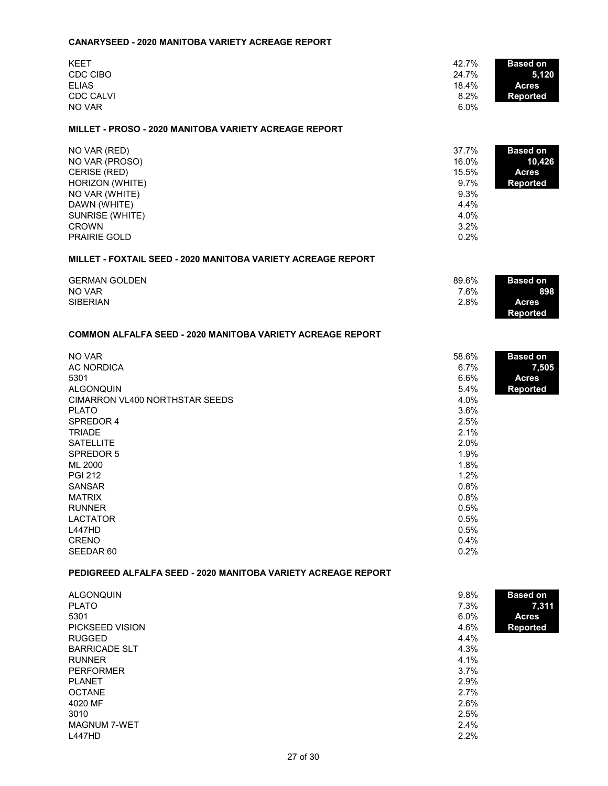#### **CANARYSEED - 2020 MANITOBA VARIETY ACREAGE REPORT**

| <b>KEET</b>      | 42.7%<br><b>Based on</b> |       |
|------------------|--------------------------|-------|
| CDC CIBO         | 24.7%                    | 5,120 |
| <b>ELIAS</b>     | 18.4%<br><b>Acres</b>    |       |
| <b>CDC CALVI</b> | 8.2%<br><b>Reported</b>  |       |
| NO VAR           | 6.0%                     |       |

#### **MILLET - PROSO - 2020 MANITOBA VARIETY ACREAGE REPORT**

| NO VAR (RED)        | 37.7%   | <b>Based on</b> |
|---------------------|---------|-----------------|
| NO VAR (PROSO)      | 16.0%   | 10,426          |
| CERISE (RED)        | 15.5%   | <b>Acres</b>    |
| HORIZON (WHITE)     | $9.7\%$ | <b>Reported</b> |
| NO VAR (WHITE)      | 9.3%    |                 |
| DAWN (WHITE)        | 4.4%    |                 |
| SUNRISE (WHITE)     | 4.0%    |                 |
| <b>CROWN</b>        | 3.2%    |                 |
| <b>PRAIRIE GOLD</b> | 0.2%    |                 |

### **MILLET - FOXTAIL SEED - 2020 MANITOBA VARIETY ACREAGE REPORT**

| <b>GERMAN GOLDEN</b> | 89.6% | <b>Based on</b> |
|----------------------|-------|-----------------|
| NO VAR               | 7.6%  | 898             |
| <b>SIBERIAN</b>      | 2.8%  | Acres           |
|                      |       | Reported        |

# **COMMON ALFALFA SEED - 2020 MANITOBA VARIETY ACREAGE REPORT**

| NO VAR                         | 58.6% | <b>Based on</b> |
|--------------------------------|-------|-----------------|
| AC NORDICA                     | 6.7%  | 7,505           |
| 5301                           | 6.6%  | <b>Acres</b>    |
| <b>ALGONQUIN</b>               | 5.4%  | <b>Reported</b> |
| CIMARRON VL400 NORTHSTAR SEEDS | 4.0%  |                 |
| <b>PLATO</b>                   | 3.6%  |                 |
| SPREDOR 4                      | 2.5%  |                 |
| <b>TRIADE</b>                  | 2.1%  |                 |
| <b>SATELLITE</b>               | 2.0%  |                 |
| SPREDOR 5                      | 1.9%  |                 |
| ML 2000                        | 1.8%  |                 |
| <b>PGI 212</b>                 | 1.2%  |                 |
| <b>SANSAR</b>                  | 0.8%  |                 |
| <b>MATRIX</b>                  | 0.8%  |                 |
| <b>RUNNER</b>                  | 0.5%  |                 |
| <b>LACTATOR</b>                | 0.5%  |                 |
| <b>L447HD</b>                  | 0.5%  |                 |
| <b>CRENO</b>                   | 0.4%  |                 |
| SEEDAR 60                      | 0.2%  |                 |

#### **PEDIGREED ALFALFA SEED - 2020 MANITOBA VARIETY ACREAGE REPORT**

| <b>ALGONQUIN</b>     | 9.8%    | <b>Based on</b> |
|----------------------|---------|-----------------|
| <b>PLATO</b>         | 7.3%    | 7,311           |
| 5301                 | $6.0\%$ | <b>Acres</b>    |
| PICKSEED VISION      | 4.6%    | Reported        |
| <b>RUGGED</b>        | 4.4%    |                 |
| <b>BARRICADE SLT</b> | 4.3%    |                 |
| <b>RUNNER</b>        | 4.1%    |                 |
| <b>PERFORMER</b>     | 3.7%    |                 |
| <b>PLANET</b>        | 2.9%    |                 |
| <b>OCTANE</b>        | 2.7%    |                 |
| 4020 MF              | 2.6%    |                 |
| 3010                 | 2.5%    |                 |
| <b>MAGNUM 7-WET</b>  | 2.4%    |                 |
| <b>L447HD</b>        | 2.2%    |                 |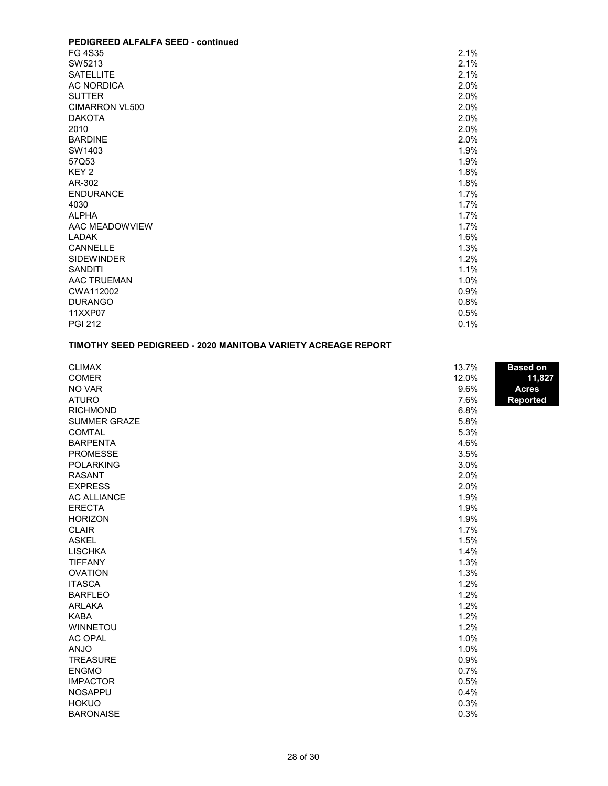| PEDIGREED ALFALFA SEED - continued |      |
|------------------------------------|------|
| FG 4S35                            | 2.1% |
| SW5213                             | 2.1% |
| <b>SATELLITE</b>                   | 2.1% |
| <b>AC NORDICA</b>                  | 2.0% |
| <b>SUTTER</b>                      | 2.0% |
| CIMARRON VL500                     | 2.0% |
| <b>DAKOTA</b>                      | 2.0% |
| 2010                               | 2.0% |
| <b>BARDINE</b>                     | 2.0% |
| SW1403                             | 1.9% |
| 57Q53                              | 1.9% |
| KEY <sub>2</sub>                   | 1.8% |
| AR-302                             | 1.8% |
| <b>ENDURANCE</b>                   | 1.7% |
| 4030                               | 1.7% |
| <b>ALPHA</b>                       | 1.7% |
| AAC MEADOWVIEW                     | 1.7% |
| <b>LADAK</b>                       | 1.6% |
| CANNELLE                           | 1.3% |
| <b>SIDEWINDER</b>                  | 1.2% |
| <b>SANDITI</b>                     | 1.1% |
| AAC TRUEMAN                        | 1.0% |
| CWA112002                          | 0.9% |
| <b>DURANGO</b>                     | 0.8% |
| 11XXP07                            | 0.5% |
| <b>PGI 212</b>                     | 0.1% |

# **TIMOTHY SEED PEDIGREED - 2020 MANITOBA VARIETY ACREAGE REPORT**

| <b>CLIMAX</b>       | 13.7% | <b>Based on</b> |
|---------------------|-------|-----------------|
| <b>COMER</b>        | 12.0% | 11,827          |
| NO VAR              | 9.6%  | <b>Acres</b>    |
| <b>ATURO</b>        | 7.6%  | <b>Reported</b> |
| <b>RICHMOND</b>     | 6.8%  |                 |
| <b>SUMMER GRAZE</b> | 5.8%  |                 |
| <b>COMTAL</b>       | 5.3%  |                 |
| <b>BARPENTA</b>     | 4.6%  |                 |
| <b>PROMESSE</b>     | 3.5%  |                 |
| <b>POLARKING</b>    | 3.0%  |                 |
| <b>RASANT</b>       | 2.0%  |                 |
| <b>EXPRESS</b>      | 2.0%  |                 |
| <b>AC ALLIANCE</b>  | 1.9%  |                 |
| <b>ERECTA</b>       | 1.9%  |                 |
| <b>HORIZON</b>      | 1.9%  |                 |
| <b>CLAIR</b>        | 1.7%  |                 |
| <b>ASKEL</b>        | 1.5%  |                 |
| <b>LISCHKA</b>      | 1.4%  |                 |
| <b>TIFFANY</b>      | 1.3%  |                 |
| <b>OVATION</b>      | 1.3%  |                 |
| <b>ITASCA</b>       | 1.2%  |                 |
| <b>BARFLEO</b>      | 1.2%  |                 |
| <b>ARLAKA</b>       | 1.2%  |                 |
| <b>KABA</b>         | 1.2%  |                 |
| <b>WINNETOU</b>     | 1.2%  |                 |
| <b>AC OPAL</b>      | 1.0%  |                 |
| <b>ANJO</b>         | 1.0%  |                 |
| <b>TREASURE</b>     | 0.9%  |                 |
| <b>ENGMO</b>        | 0.7%  |                 |
| <b>IMPACTOR</b>     | 0.5%  |                 |
| <b>NOSAPPU</b>      | 0.4%  |                 |
| <b>HOKUO</b>        | 0.3%  |                 |
| <b>BARONAISE</b>    | 0.3%  |                 |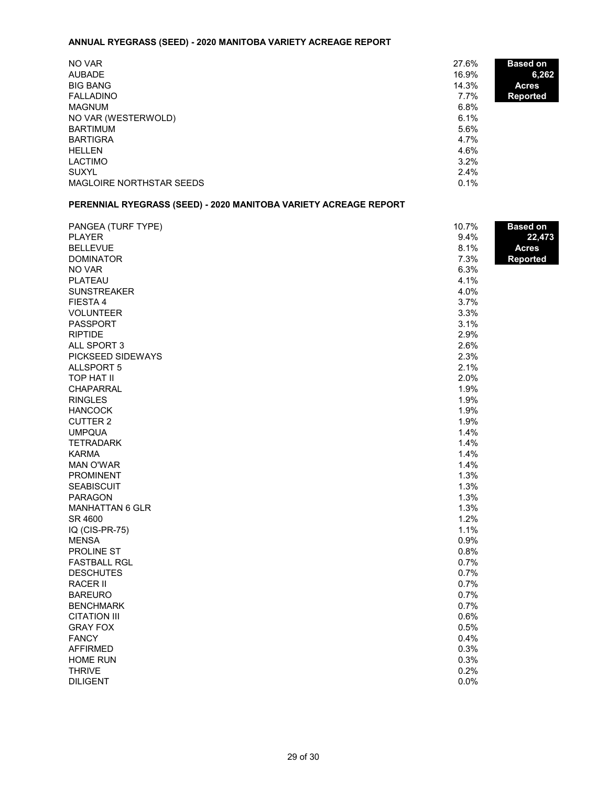# **ANNUAL RYEGRASS (SEED) - 2020 MANITOBA VARIETY ACREAGE REPORT**

| NO VAR<br><b>AUBADE</b>  | 27.6%<br><b>Based on</b><br>16.9%<br>6,262 |  |
|--------------------------|--------------------------------------------|--|
| <b>BIG BANG</b>          | 14.3%<br><b>Acres</b>                      |  |
| <b>FALLADINO</b>         | 7.7%<br>Reported                           |  |
| <b>MAGNUM</b>            | 6.8%                                       |  |
| NO VAR (WESTERWOLD)      | 6.1%                                       |  |
| BARTIMUM                 | 5.6%                                       |  |
| <b>BARTIGRA</b>          | 4.7%                                       |  |
| <b>HELLEN</b>            | 4.6%                                       |  |
| LACTIMO                  | 3.2%                                       |  |
| <b>SUXYL</b>             | 2.4%                                       |  |
| MAGLOIRE NORTHSTAR SEEDS | 0.1%                                       |  |

# **PERENNIAL RYEGRASS (SEED) - 2020 MANITOBA VARIETY ACREAGE REPORT**

| PANGEA (TURF TYPE)     | 10.7% | <b>Based on</b> |
|------------------------|-------|-----------------|
| <b>PLAYER</b>          | 9.4%  | 22,473          |
| <b>BELLEVUE</b>        | 8.1%  | <b>Acres</b>    |
| <b>DOMINATOR</b>       | 7.3%  | <b>Reported</b> |
| NO VAR                 | 6.3%  |                 |
| PLATEAU                | 4.1%  |                 |
| <b>SUNSTREAKER</b>     | 4.0%  |                 |
| FIESTA 4               | 3.7%  |                 |
| <b>VOLUNTEER</b>       | 3.3%  |                 |
| <b>PASSPORT</b>        | 3.1%  |                 |
| <b>RIPTIDE</b>         | 2.9%  |                 |
| ALL SPORT 3            | 2.6%  |                 |
| PICKSEED SIDEWAYS      | 2.3%  |                 |
| <b>ALLSPORT 5</b>      | 2.1%  |                 |
| TOP HAT II             | 2.0%  |                 |
| <b>CHAPARRAL</b>       | 1.9%  |                 |
| <b>RINGLES</b>         | 1.9%  |                 |
| <b>HANCOCK</b>         | 1.9%  |                 |
| <b>CUTTER 2</b>        | 1.9%  |                 |
| <b>UMPQUA</b>          | 1.4%  |                 |
| <b>TETRADARK</b>       | 1.4%  |                 |
| <b>KARMA</b>           | 1.4%  |                 |
| <b>MAN O'WAR</b>       | 1.4%  |                 |
| PROMINENT              | 1.3%  |                 |
| <b>SEABISCUIT</b>      | 1.3%  |                 |
| <b>PARAGON</b>         | 1.3%  |                 |
| <b>MANHATTAN 6 GLR</b> | 1.3%  |                 |
| SR 4600                | 1.2%  |                 |
| IQ (CIS-PR-75)         | 1.1%  |                 |
| <b>MENSA</b>           | 0.9%  |                 |
| PROLINE ST             | 0.8%  |                 |
| <b>FASTBALL RGL</b>    | 0.7%  |                 |
| <b>DESCHUTES</b>       | 0.7%  |                 |
| <b>RACER II</b>        | 0.7%  |                 |
| <b>BAREURO</b>         | 0.7%  |                 |
| <b>BENCHMARK</b>       | 0.7%  |                 |
| <b>CITATION III</b>    | 0.6%  |                 |
| <b>GRAY FOX</b>        | 0.5%  |                 |
| <b>FANCY</b>           | 0.4%  |                 |
| <b>AFFIRMED</b>        | 0.3%  |                 |
| <b>HOME RUN</b>        | 0.3%  |                 |
| <b>THRIVE</b>          | 0.2%  |                 |
| <b>DILIGENT</b>        | 0.0%  |                 |